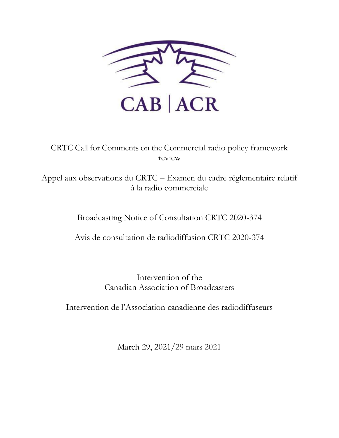

CRTC Call for Comments on the Commercial radio policy framework review

Appel aux observations du CRTC – Examen du cadre réglementaire relatif à la radio commerciale

Broadcasting Notice of Consultation CRTC 2020-374

Avis de consultation de radiodiffusion CRTC 2020-374

Intervention of the Canadian Association of Broadcasters

Intervention de l'Association canadienne des radiodiffuseurs

March 29, 2021/29 mars 2021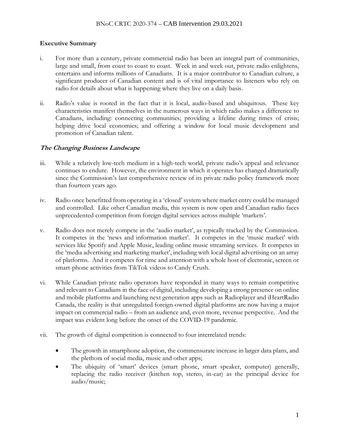### **Executive Summary**

- i. For more than a century, private commercial radio has been an integral part of communities, large and small, from coast to coast to coast. Week in and week out, private radio enlightens, entertains and informs millions of Canadians. It is a major contributor to Canadian culture, a significant producer of Canadian content and is of vital importance to listeners who rely on radio for details about what is happening where they live on a daily basis.
- ii. Radio's value is rooted in the fact that it is local, audio-based and ubiquitous. These key characteristics manifest themselves in the numerous ways in which radio makes a difference to Canadians, including: connecting communities; providing a lifeline during times of crisis; helping drive local economies; and offering a window for local music development and promotion of Canadian talent.

## **The Changing Business Landscape**

- iii. While a relatively low-tech medium in a high-tech world, private radio's appeal and relevance continues to endure. However, the environment in which it operates has changed dramatically since the Commission's last comprehensive review of its private radio policy framework more than fourteen years ago.
- iv. Radio once benefitted from operating in a 'closed' system where market entry could be managed and controlled. Like other Canadian media, this system is now open and Canadian radio faces unprecedented competition from foreign digital services across multiple 'markets'.
- v. Radio does not merely compete in the 'audio market', as typically tracked by the Commission. It competes in the 'news and information market'. It competes in the 'music market' with services like Spotify and Apple Music, leading online music streaming services. It competes in the 'media advertising and marketing market', including with local digital advertising on an array of platforms. And it competes for time and attention with a whole host of electronic, screen or smart-phone activities from TikTok videos to Candy Crush.
- vi. While Canadian private radio operators have responded in many ways to remain competitive and relevant to Canadians in the face of digital, including developing a strong presence on online and mobile platforms and launching next generation apps such as Radioplayer and iHeartRadio Canada, the reality is that unregulated foreign-owned digital platforms are now having a major impact on commercial radio – from an audience and, even more, revenue perspective. And the impact was evident long before the onset of the COVID-19 pandemic.
- vii. The growth of digital competition is connected to four interrelated trends:
	- The growth in smartphone adoption, the commensurate increase in larger data plans, and the plethora of social media, music and other apps;
	- The ubiquity of 'smart' devices (smart phone, smart speaker, computer) generally, replacing the radio receiver (kitchen top, stereo, in-car) as the principal device for audio/music;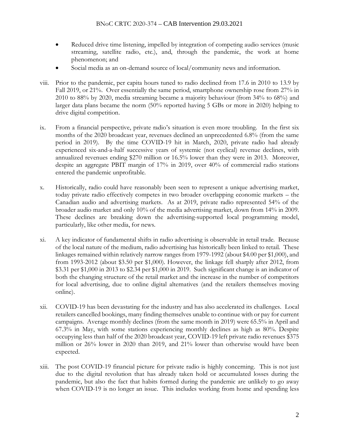- Reduced drive time listening, impelled by integration of competing audio services (music streaming, satellite radio, etc.), and, through the pandemic, the work at home phenomenon; and
- Social media as an on-demand source of local/community news and information.
- viii. Prior to the pandemic, per capita hours tuned to radio declined from 17.6 in 2010 to 13.9 by Fall 2019, or 21%. Over essentially the same period, smartphone ownership rose from 27% in 2010 to 88% by 2020, media streaming became a majority behaviour (from 34% to 68%) and larger data plans became the norm (50% reported having 5 GBs or more in 2020) helping to drive digital competition.
- ix. From a financial perspective, private radio's situation is even more troubling. In the first six months of the 2020 broadcast year, revenues declined an unprecedented 6.8% (from the same period in 2019). By the time COVID-19 hit in March, 2020, private radio had already experienced six-and-a-half successive years of systemic (not cyclical) revenue declines, with annualized revenues ending \$270 million or 16.5% lower than they were in 2013. Moreover, despite an aggregate PBIT margin of 17% in 2019, over 40% of commercial radio stations entered the pandemic unprofitable.
- x. Historically, radio could have reasonably been seen to represent a unique advertising market, today private radio effectively competes in two broader overlapping economic markets – the Canadian audio and advertising markets. As at 2019, private radio represented 54% of the broader audio market and only 10% of the media advertising market, down from 14% in 2009. These declines are breaking down the advertising-supported local programming model, particularly, like other media, for news.
- xi. A key indicator of fundamental shifts in radio advertising is observable in retail trade. Because of the local nature of the medium, radio advertising has historically been linked to retail. These linkages remained within relatively narrow ranges from 1979-1992 (about \$4.00 per \$1,000), and from 1993-2012 (about \$3.50 per \$1,000). However, the linkage fell sharply after 2012, from \$3.31 per \$1,000 in 2013 to \$2.34 per \$1,000 in 2019. Such significant change is an indicator of both the changing structure of the retail market and the increase in the number of competitors for local advertising, due to online digital alternatives (and the retailers themselves moving online).
- xii. COVID-19 has been devastating for the industry and has also accelerated its challenges. Local retailers cancelled bookings, many finding themselves unable to continue with or pay for current campaigns. Average monthly declines (from the same month in 2019) were 65.5% in April and 67.3% in May, with some stations experiencing monthly declines as high as 80%. Despite occupying less than half of the 2020 broadcast year, COVID-19 left private radio revenues \$375 million or 26% lower in 2020 than 2019, and 21% lower than otherwise would have been expected.
- xiii. The post COVID-19 financial picture for private radio is highly concerning. This is not just due to the digital revolution that has already taken hold or accumulated losses during the pandemic, but also the fact that habits formed during the pandemic are unlikely to go away when COVID-19 is no longer an issue. This includes working from home and spending less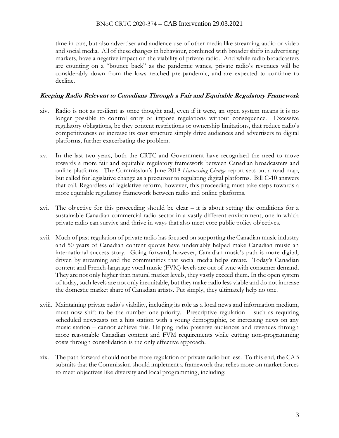#### BNoC CRTC 2020-374 – CAB Intervention 29.03.2021

time in cars, but also advertiser and audience use of other media like streaming audio or video and social media. All of these changes in behaviour, combined with broader shifts in advertising markets, have a negative impact on the viability of private radio. And while radio broadcasters are counting on a "bounce back" as the pandemic wanes, private radio's revenues will be considerably down from the lows reached pre-pandemic, and are expected to continue to decline.

#### **Keeping Radio Relevant to Canadians Through a Fair and Equitable Regulatory Framework**

- xiv. Radio is not as resilient as once thought and, even if it were, an open system means it is no longer possible to control entry or impose regulations without consequence. Excessive regulatory obligations, be they content restrictions or ownership limitations, that reduce radio's competitiveness or increase its cost structure simply drive audiences and advertisers to digital platforms, further exacerbating the problem.
- xv. In the last two years, both the CRTC and Government have recognized the need to move towards a more fair and equitable regulatory framework between Canadian broadcasters and online platforms. The Commission's June 2018 *Harnessing Change* report sets out a road map, but called for legislative change as a precursor to regulating digital platforms. Bill C-10 answers that call. Regardless of legislative reform, however, this proceeding must take steps towards a more equitable regulatory framework between radio and online platforms.
- xvi. The objective for this proceeding should be clear it is about setting the conditions for a sustainable Canadian commercial radio sector in a vastly different environment, one in which private radio can survive and thrive in ways that also meet core public policy objectives.
- xvii. Much of past regulation of private radio has focused on supporting the Canadian music industry and 50 years of Canadian content quotas have undeniably helped make Canadian music an international success story. Going forward, however, Canadian music's path is more digital, driven by streaming and the communities that social media helps create. Today's Canadian content and French-language vocal music (FVM) levels are out of sync with consumer demand. They are not only higher than natural market levels, they vastly exceed them. In the open system of today, such levels are not only inequitable, but they make radio less viable and do not increase the domestic market share of Canadian artists. Put simply, they ultimately help no one.
- xviii. Maintaining private radio's viability, including its role as a local news and information medium, must now shift to be the number one priority. Prescriptive regulation – such as requiring scheduled newscasts on a hits station with a young demographic, or increasing news on any music station – cannot achieve this. Helping radio preserve audiences and revenues through more reasonable Canadian content and FVM requirements while cutting non-programming costs through consolidation is the only effective approach.
- xix. The path forward should not be more regulation of private radio but less. To this end, the CAB submits that the Commission should implement a framework that relies more on market forces to meet objectives like diversity and local programming, including: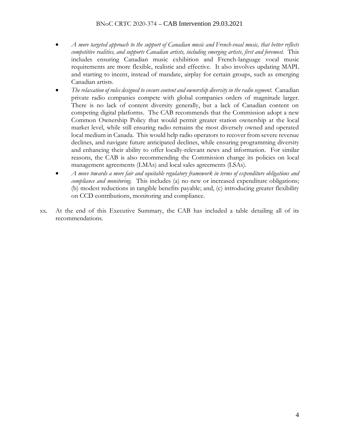- *A more targeted approach to the support of Canadian music and French-vocal music, that better reflects competitive realities, and supports Canadian artists, including emerging artists, first and foremost.* This includes ensuring Canadian music exhibition and French-language vocal music requirements are more flexible, realistic and effective. It also involves updating MAPL and starting to incent, instead of mandate, airplay for certain groups, such as emerging Canadian artists.
- *The relaxation of rules designed to ensure content and ownership diversity in the radio segment.* Canadian private radio companies compete with global companies orders of magnitude larger. There is no lack of content diversity generally, but a lack of Canadian content on competing digital platforms. The CAB recommends that the Commission adopt a new Common Ownership Policy that would permit greater station ownership at the local market level, while still ensuring radio remains the most diversely owned and operated local medium in Canada. This would help radio operators to recover from severe revenue declines, and navigate future anticipated declines, while ensuring programming diversity and enhancing their ability to offer locally-relevant news and information. For similar reasons, the CAB is also recommending the Commission change its policies on local management agreements (LMAs) and local sales agreements (LSAs).
- *A move towards a more fair and equitable regulatory framework in terms of expenditure obligations and compliance and monitoring.* This includes (a) no new or increased expenditure obligations; (b) modest reductions in tangible benefits payable; and, (c) introducing greater flexibility on CCD contributions, monitoring and compliance.
- xx. At the end of this Executive Summary, the CAB has included a table detailing all of its recommendations.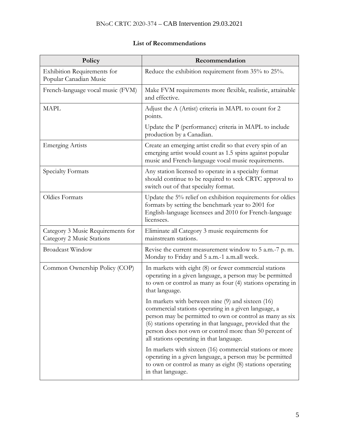| Policy                                                         | Recommendation                                                                                                                                                                                                                                                                                                                                |  |  |
|----------------------------------------------------------------|-----------------------------------------------------------------------------------------------------------------------------------------------------------------------------------------------------------------------------------------------------------------------------------------------------------------------------------------------|--|--|
| <b>Exhibition Requirements for</b><br>Popular Canadian Music   | Reduce the exhibition requirement from 35% to 25%.                                                                                                                                                                                                                                                                                            |  |  |
| French-language vocal music (FVM)                              | Make FVM requirements more flexible, realistic, attainable<br>and effective.                                                                                                                                                                                                                                                                  |  |  |
| <b>MAPL</b>                                                    | Adjust the A (Artist) criteria in MAPL to count for 2<br>points.                                                                                                                                                                                                                                                                              |  |  |
|                                                                | Update the P (performance) criteria in MAPL to include<br>production by a Canadian.                                                                                                                                                                                                                                                           |  |  |
| <b>Emerging Artists</b>                                        | Create an emerging artist credit so that every spin of an<br>emerging artist would count as 1.5 spins against popular<br>music and French-language vocal music requirements.                                                                                                                                                                  |  |  |
| Specialty Formats                                              | Any station licensed to operate in a specialty format<br>should continue to be required to seek CRTC approval to<br>switch out of that specialty format.                                                                                                                                                                                      |  |  |
| <b>Oldies Formats</b>                                          | Update the 5% relief on exhibition requirements for oldies<br>formats by setting the benchmark year to 2001 for<br>English-language licensees and 2010 for French-language<br>licensees.                                                                                                                                                      |  |  |
| Category 3 Music Requirements for<br>Category 2 Music Stations | Eliminate all Category 3 music requirements for<br>mainstream stations.                                                                                                                                                                                                                                                                       |  |  |
| <b>Broadcast Window</b>                                        | Revise the current measurement window to 5 a.m.-7 p.m.<br>Monday to Friday and 5 a.m.-1 a.m.all week.                                                                                                                                                                                                                                         |  |  |
| Common Ownership Policy (COP)                                  | In markets with eight (8) or fewer commercial stations<br>operating in a given language, a person may be permitted<br>to own or control as many as four (4) stations operating in<br>that language.                                                                                                                                           |  |  |
|                                                                | In markets with between nine $(9)$ and sixteen $(16)$<br>commercial stations operating in a given language, a<br>person may be permitted to own or control as many as six<br>(6) stations operating in that language, provided that the<br>person does not own or control more than 50 percent of<br>all stations operating in that language. |  |  |
|                                                                | In markets with sixteen (16) commercial stations or more<br>operating in a given language, a person may be permitted<br>to own or control as many as eight (8) stations operating<br>in that language.                                                                                                                                        |  |  |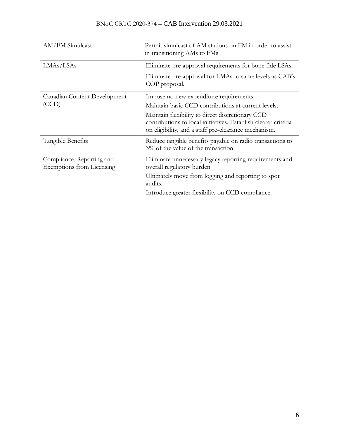| AM/FM Simulcast                                               | Permit simulcast of AM stations on FM in order to assist<br>in transitioning AMs to FMs                                                                                    |  |
|---------------------------------------------------------------|----------------------------------------------------------------------------------------------------------------------------------------------------------------------------|--|
| LMAs/LSAs                                                     | Eliminate pre-approval requirements for bone fide LSAs.<br>Eliminate pre-approval for LMAs to same levels as CAB's                                                         |  |
|                                                               | COP proposal.                                                                                                                                                              |  |
| Canadian Content Development                                  | Impose no new expenditure requirements.                                                                                                                                    |  |
| (CCD)                                                         | Maintain basic CCD contributions at current levels.                                                                                                                        |  |
|                                                               | Maintain flexibility to direct discretionary CCD<br>contributions to local initiatives. Establish clearer criteria<br>on eligibility, and a staff pre-clearance mechanism. |  |
| Tangible Benefits                                             | Reduce tangible benefits payable on radio transactions to<br>3% of the value of the transaction.                                                                           |  |
| Compliance, Reporting and<br><b>Exemptions from Licensing</b> | Eliminate unnecessary legacy reporting requirements and<br>overall regulatory burden.                                                                                      |  |
|                                                               | Ultimately move from logging and reporting to spot<br>audits.                                                                                                              |  |
|                                                               | Introduce greater flexibility on CCD compliance.                                                                                                                           |  |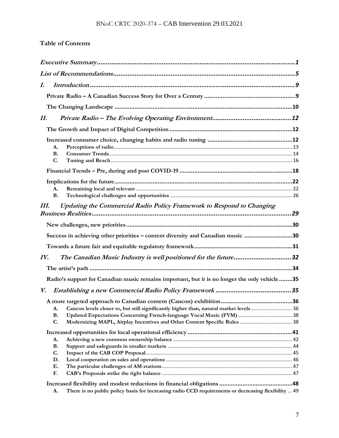# **Table of Contents**

| I.  |                                                                                                           |  |  |
|-----|-----------------------------------------------------------------------------------------------------------|--|--|
|     |                                                                                                           |  |  |
|     |                                                                                                           |  |  |
| II. |                                                                                                           |  |  |
|     |                                                                                                           |  |  |
|     |                                                                                                           |  |  |
|     | A.                                                                                                        |  |  |
|     | <b>B.</b>                                                                                                 |  |  |
|     | C.                                                                                                        |  |  |
|     |                                                                                                           |  |  |
|     |                                                                                                           |  |  |
|     | А.                                                                                                        |  |  |
|     | <b>B.</b>                                                                                                 |  |  |
| Ш.  | Updating the Commercial Radio Policy Framework to Respond to Changing                                     |  |  |
|     |                                                                                                           |  |  |
|     |                                                                                                           |  |  |
|     | Success in achieving other priorities - content diversity and Canadian music 30                           |  |  |
|     |                                                                                                           |  |  |
| IV. | The Canadian Music Industry is well positioned for the future32                                           |  |  |
|     |                                                                                                           |  |  |
|     | Radio's support for Canadian music remains important, but it is no longer the only vehicle35              |  |  |
| V.  |                                                                                                           |  |  |
|     |                                                                                                           |  |  |
|     | Cancon levels closer to, but still significantly higher than, natural market levels 36<br>A.              |  |  |
|     | <b>B.</b>                                                                                                 |  |  |
|     | C.                                                                                                        |  |  |
|     |                                                                                                           |  |  |
|     | A.                                                                                                        |  |  |
|     | <b>B.</b>                                                                                                 |  |  |
|     | C.                                                                                                        |  |  |
|     | D.                                                                                                        |  |  |
|     | Ε.                                                                                                        |  |  |
|     | F.                                                                                                        |  |  |
|     |                                                                                                           |  |  |
|     | There is no public policy basis for increasing radio CCD requirements or decreasing flexibility  49<br>A. |  |  |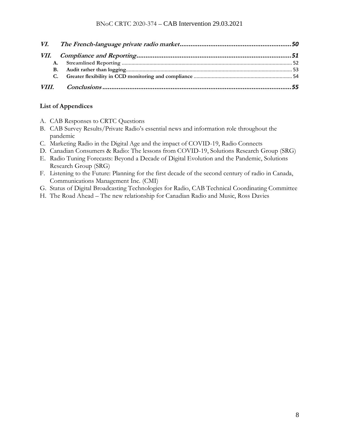| В. |  |  |
|----|--|--|
| C. |  |  |
|    |  |  |

### **List of Appendices**

- A. CAB Responses to CRTC Questions
- B. CAB Survey Results/Private Radio's essential news and information role throughout the pandemic
- C. Marketing Radio in the Digital Age and the impact of COVID-19, Radio Connects
- D. Canadian Consumers & Radio: The lessons from COVID-19, Solutions Research Group (SRG)
- E. Radio Tuning Forecasts: Beyond a Decade of Digital Evolution and the Pandemic, Solutions Research Group (SRG)
- F. Listening to the Future: Planning for the first decade of the second century of radio in Canada, Communications Management Inc. (CMI)
- G. Status of Digital Broadcasting Technologies for Radio, CAB Technical Coordinating Committee
- H. The Road Ahead The new relationship for Canadian Radio and Music, Ross Davies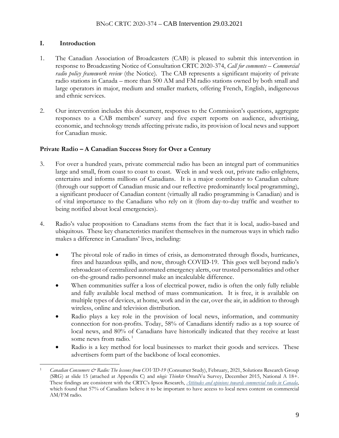# **I. Introduction**

- 1. The Canadian Association of Broadcasters (CAB) is pleased to submit this intervention in response to Broadcasting Notice of Consultation CRTC 2020-374, *Call for comments – Commercial radio policy framework review* (the Notice). The CAB represents a significant majority of private radio stations in Canada – more than 500 AM and FM radio stations owned by both small and large operators in major, medium and smaller markets, offering French, English, indigeneous and ethnic services.
- 2. Our intervention includes this document, responses to the Commission's questions, aggregate responses to a CAB members' survey and five expert reports on audience, advertising, economic, and technology trends affecting private radio, its provision of local news and support for Canadian music.

# **Private Radio – A Canadian Success Story for Over a Century**

- 3. For over a hundred years, private commercial radio has been an integral part of communities large and small, from coast to coast to coast. Week in and week out, private radio enlightens, entertains and informs millions of Canadians. It is a major contributor to Canadian culture (through our support of Canadian music and our reflective predominantly local programming), a significant producer of Canadian content (virtually all radio programming is Canadian) and is of vital importance to the Canadians who rely on it (from day-to-day traffic and weather to being notified about local emergencies).
- 4. Radio's value proposition to Canadians stems from the fact that it is local, audio-based and ubiquitous. These key characteristics manifest themselves in the numerous ways in which radio makes a difference in Canadians' lives, including:
	- The pivotal role of radio in times of crisis, as demonstrated through floods, hurricanes, fires and hazardous spills, and now, through COVID-19. This goes well beyond radio's rebroadcast of centralized automated emergency alerts, our trusted personalities and other on-the-ground radio personnel make an incalculable difference.
	- When communities suffer a loss of electrical power, radio is often the only fully reliable and fully available local method of mass communication. It is free, it is available on multiple types of devices, at home, work and in the car, over the air, in addition to through wireless, online and television distribution.
	- Radio plays a key role in the provision of local news, information, and community connection for non-profits. Today, 58% of Canadians identify radio as a top source of local news, and 80% of Canadians have historically indicated that they receive at least some news from radio.<sup>1</sup>
	- Radio is a key method for local businesses to market their goods and services. These advertisers form part of the backbone of local economies.

Canadian Consumers & Radio: The lessons from COVID-19 (Consumer Study), February, 2021, Solutions Research Group (SRG) at slide 15 (attached at Appendix C) and *nlogic Thinktv* OmniVu Survey, December 2015, National A 18+. These findings are consistent with the CRTC's Ipsos Research, *[Attitudes and opinions towards commercial radio in Canada](https://ct-url-protection.portal.checkpoint.com/v1/load/w5SwFlDjXd7mv9Ddyn_B7QQUzaeVw5Ra4UGJgRH54dNu9cruqQ0MgMDMcb50R1u39uOzSYpve3rJNyjyuJFvO85nVGqmj09B6ETu4heht_Pp_2I9uJiU0FWl_ceGjs3OQ-7HXGpe98Olvufbiy3WERq1kkIQjz-gcxGcWOoddkx_yftkNzxiuRiaVsK2zb8OA2uxLSns6QXAlLq4uoCpWucWSCtuVXn_wXhXQ6tVxqlHsFZKs_rSKnpdvNM5WuIj36FWFrXzXUO_2npmB16j7YyVb1C_qA)*, which found that 57% of Canadians believe it to be important to have access to local news content on commercial AM/FM radio.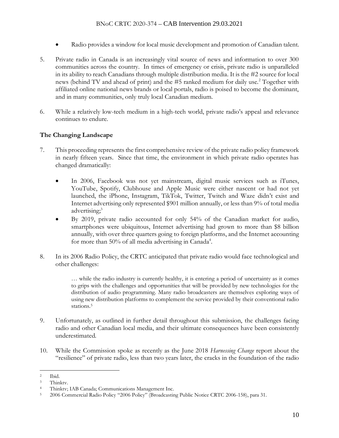- Radio provides a window for local music development and promotion of Canadian talent.
- 5. Private radio in Canada is an increasingly vital source of news and information to over 300 communities across the country. In times of emergency or crisis, private radio is unparalleled in its ability to reach Canadians through multiple distribution media. It is the #2 source for local news (behind TV and ahead of print) and the #5 ranked medium for daily use.<sup>2</sup> Together with affiliated online national news brands or local portals, radio is poised to become the dominant, and in many communities, only truly local Canadian medium.
- 6. While a relatively low-tech medium in a high-tech world, private radio's appeal and relevance continues to endure.

## **The Changing Landscape**

- 7. This proceeding represents the first comprehensive review of the private radio policy framework in nearly fifteen years. Since that time, the environment in which private radio operates has changed dramatically:
	- In 2006, Facebook was not yet mainstream, digital music services such as iTunes, YouTube, Spotify, Clubhouse and Apple Music were either nascent or had not yet launched, the iPhone, Instagram, TikTok, Twitter, Twitch and Waze didn't exist and Internet advertising only represented \$901 million annually, or less than 9% of total media advertising; 3
	- By 2019, private radio accounted for only 54% of the Canadian market for audio, smartphones were ubiquitous, Internet advertising had grown to more than \$8 billion annually, with over three quarters going to foreign platforms, and the Internet accounting for more than 50% of all media advertising in Canada<sup>4</sup>.
- 8. In its 2006 Radio Policy, the CRTC anticipated that private radio would face technological and other challenges:

… while the radio industry is currently healthy, it is entering a period of uncertainty as it comes to grips with the challenges and opportunities that will be provided by new technologies for the distribution of audio programming. Many radio broadcasters are themselves exploring ways of using new distribution platforms to complement the service provided by their conventional radio stations.<sup>5</sup>

- 9. Unfortunately, as outlined in further detail throughout this submission, the challenges facing radio and other Canadian local media, and their ultimate consequences have been consistently underestimated.
- 10. While the Commission spoke as recently as the June 2018 *Harnessing Change* report about the "resilience" of private radio, less than two years later, the cracks in the foundation of the radio

<sup>2</sup> Ibid.

<sup>3</sup> Thinktv.

<sup>4</sup> Thinktv; IAB Canada; Communications Management Inc.

<sup>5</sup> 2006 Commercial Radio Policy "2006 Policy" (Broadcasting Public Notice CRTC 2006-158), para 31.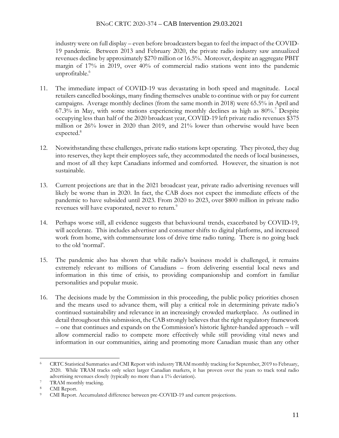### BNoC CRTC 2020-374 – CAB Intervention 29.03.2021

industry were on full display – even before broadcasters began to feel the impact of the COVID-19 pandemic. Between 2013 and February 2020, the private radio industry saw annualized revenues decline by approximately \$270 million or 16.5%. Moreover, despite an aggregate PBIT margin of 17% in 2019, over 40% of commercial radio stations went into the pandemic unprofitable. 6

- 11. The immediate impact of COVID-19 was devastating in both speed and magnitude. Local retailers cancelled bookings, many finding themselves unable to continue with or pay for current campaigns. Average monthly declines (from the same month in 2018) were 65.5% in April and 67.3% in May, with some stations experiencing monthly declines as high as 80%.<sup>7</sup> Despite occupying less than half of the 2020 broadcast year, COVID-19 left private radio revenues \$375 million or 26% lower in 2020 than 2019, and 21% lower than otherwise would have been expected. 8
- 12. Notwithstanding these challenges, private radio stations kept operating. They pivoted, they dug into reserves, they kept their employees safe, they accommodated the needs of local businesses, and most of all they kept Canadians informed and comforted. However, the situation is not sustainable.
- 13. Current projections are that in the 2021 broadcast year, private radio advertising revenues will likely be worse than in 2020. In fact, the CAB does not expect the immediate effects of the pandemic to have subsided until 2023. From 2020 to 2023, over \$800 million in private radio revenues will have evaporated, never to return.<sup>9</sup>
- 14. Perhaps worse still, all evidence suggests that behavioural trends, exacerbated by COVID-19, will accelerate. This includes advertiser and consumer shifts to digital platforms, and increased work from home, with commensurate loss of drive time radio tuning. There is no going back to the old 'normal'.
- 15. The pandemic also has shown that while radio's business model is challenged, it remains extremely relevant to millions of Canadians – from delivering essential local news and information in this time of crisis, to providing companionship and comfort in familiar personalities and popular music.
- 16. The decisions made by the Commission in this proceeding, the public policy priorities chosen and the means used to advance them, will play a critical role in determining private radio's continued sustainability and relevance in an increasingly crowded marketplace. As outlined in detail throughout this submission, the CAB strongly believes that the right regulatory framework – one that continues and expands on the Commission's historic lighter-handed approach – will allow commercial radio to compete more effectively while still providing vital news and information in our communities, airing and promoting more Canadian music than any other

<sup>6</sup> CRTC Statistical Summaries and CMI Report with industry TRAM monthly tracking for September, 2019 to February, 2020. While TRAM tracks only select larger Canadian markets, it has proven over the years to track total radio advertising revenues closely (typically no more than a 1% deviation).

<sup>7</sup> TRAM monthly tracking.

<sup>8</sup> CMI Report.

CMI Report. Accumulated difference between pre-COVID-19 and current projections.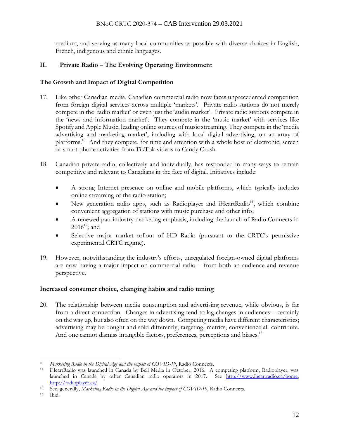### BNoC CRTC 2020-374 – CAB Intervention 29.03.2021

medium, and serving as many local communities as possible with diverse choices in English, French, indigenous and ethnic languages.

# **II. Private Radio – The Evolving Operating Environment**

## **The Growth and Impact of Digital Competition**

- 17. Like other Canadian media, Canadian commercial radio now faces unprecedented competition from foreign digital services across multiple 'markets'. Private radio stations do not merely compete in the 'radio market' or even just the 'audio market'. Private radio stations compete in the 'news and information market'. They compete in the 'music market' with services like Spotify and Apple Music, leading online sources of music streaming. They compete in the 'media advertising and marketing market', including with local digital advertising, on an array of platforms. <sup>10</sup> And they compete, for time and attention with a whole host of electronic, screen or smart-phone activities from TikTok videos to Candy Crush.
- 18. Canadian private radio, collectively and individually, has responded in many ways to remain competitive and relevant to Canadians in the face of digital. Initiatives include:
	- A strong Internet presence on online and mobile platforms, which typically includes online streaming of the radio station;
	- New generation radio apps, such as Radioplayer and iHeartRadio<sup>11</sup>, which combine convenient aggregation of stations with music purchase and other info;
	- A renewed pan-industry marketing emphasis, including the launch of Radio Connects in  $2016^{12}$ ; and
	- Selective major market rollout of HD Radio (pursuant to the CRTC's permissive experimental CRTC regime).
- 19. However, notwithstanding the industry's efforts, unregulated foreign-owned digital platforms are now having a major impact on commercial radio – from both an audience and revenue perspective.

## **Increased consumer choice, changing habits and radio tuning**

20. The relationship between media consumption and advertising revenue, while obvious, is far from a direct connection. Changes in advertising tend to lag changes in audiences – certainly on the way up, but also often on the way down. Competing media have different characteristics; advertising may be bought and sold differently; targeting, metrics, convenience all contribute. And one cannot dismiss intangible factors, preferences, perceptions and biases.<sup>13</sup>

<sup>10</sup> *Marketing Radio in the Digital Age and the impact of COVID-19*, Radio Connects.

<sup>11</sup> iHeartRadio was launched in Canada by Bell Media in October, 2016. A competing platform, Radioplayer, was launched in Canada by other Canadian radio operators in 2017. See [http://www.iheartradio.ca/home,](https://ct-url-protection.portal.checkpoint.com/v1/load/57iyyFPWJUqR18lEL4ghlABLRAHXdfDBA8CF1RSgQ8G1BRMRq9ZmWWjEscRwiwgqIWNum9L_Iqn9W5qNumhH9PGQE1D-bZtWzwB7vCenhy0nGB4wKMypDDRyuCkXGG6F-URFueeQiVZHT116nIGjA0xKatQfblkkKdtnH3YrHF9TYDzFCOPQijIvl_oLwmm0wDJdYsFXtd3Hl2wxGLQ) [http://radioplayer.ca/](https://ct-url-protection.portal.checkpoint.com/v1/load/ja8A6ht-25KMbEO2cLNyiBvpU-lU_da3Pk_ws3lyzS03UFGuB2IGwioQVopIk63WsHW6mL5wMIlCGLchL54g_MMvQqMD9dMFPXXn8aLIMFhZJ8j-B1kaPve6BY_kqWlFeTmsjyqD0qCIzw94tU6Mg0zttuazhTNS_gSjvaBEwevO6sUt532e7t9X4z2dDat5qyne4PRK)

<sup>12</sup> See, generally, *Marketing Radio in the Digital Age and the impact of COVID-19*, Radio Connects.

<sup>13</sup> Ibid.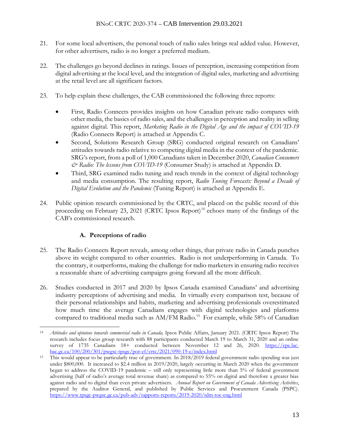- 21. For some local advertisers, the personal touch of radio sales brings real added value. However, for other advertisers, radio is no longer a preferred medium.
- 22. The challenges go beyond declines in ratings. Issues of perception, increasing competition from digital advertising at the local level, and the integration of digital sales, marketing and advertising at the retail level are all significant factors.
- 23. To help explain these challenges, the CAB commissioned the following three reports:
	- First, Radio Connects provides insights on how Canadian private radio compares with other media, the basics of radio sales, and the challenges in perception and reality in selling against digital. This report, *Marketing Radio in the Digital Age and the impact of COVID-19* (Radio Connects Report) is attached at Appendix C.
	- Second, Solutions Research Group (SRG) conducted original research on Canadians' attitudes towards radio relative to competing digital media in the context of the pandemic. SRG's report, from a poll of 1,000 Canadians taken in December 2020, *Canadian Consumers & Radio: The lessons from COVID-19* (Consumer Study) is attached at Appendix D.
	- Third, SRG examined radio tuning and reach trends in the context of digital technology and media consumption. The resulting report, *Radio Tuning Forecasts: Beyond a Decade of Digital Evolution and the Pandemic* (Tuning Report) is attached at Appendix E.
- 24. Public opinion research commissioned by the CRTC, and placed on the public record of this proceeding on February 23, 2021 (CRTC Ipsos Report)<sup>14</sup> echoes many of the findings of the CAB's commissioned research.

# **A. Perceptions of radio**

- 25. The Radio Connects Report reveals, among other things, that private radio in Canada punches above its weight compared to other countries. Radio is not underperforming in Canada. To the contrary, it outperforms, making the challenge for radio marketers in ensuring radio receives a reasonable share of advertising campaigns going forward all the more difficult.
- 26. Studies conducted in 2017 and 2020 by Ipsos Canada examined Canadians' and advertising industry perceptions of advertising and media. In virtually every comparison test, because of their personal relationships and habits, marketing and advertising professionals overestimated how much time the average Canadians engages with digital technologies and platforms compared to traditional media such as AM/FM Radio.<sup>15</sup> For example, while 58% of Canadian

<sup>14</sup> *Attitudes and opinions towards commercial radio in Canada,* Ipsos Public Affairs, January 2021. (CRTC Ipsos Report) The research includes focus group research with 88 participants conducted March 19 to March 31, 2020 and an online survey of 1735 Canadians 18+ conducted between November 12 and 26, 2020. [https://epe.lac](https://epe.lac-bac.gc.ca/100/200/301/pwgsc-tpsgc/por-ef/crtc/2021/090-19-e/index.html)[bac.gc.ca/100/200/301/pwgsc-tpsgc/por-ef/crtc/2021/090-19-e/index.html](https://epe.lac-bac.gc.ca/100/200/301/pwgsc-tpsgc/por-ef/crtc/2021/090-19-e/index.html)

<sup>&</sup>lt;sup>15</sup> This would appear to be particularly true of government. In 2018/2019 federal government radio spending was just under \$800,000. It increased to \$2.4 million in 2019/2020, largely occurring in March 2020 when the government began to address the COVID-19 pandemic – still only representing little more than 5% of federal government advertising (half of radio's average total revenue share) as compared to 55% on digital and therefore a greater bias against radio and to digital than even private advertisers. *Annual Report on Government of Canada Advertising Activities*, prepared by the Auditor General, and published by Public Services and Procurement Canada (PSPC). [https://www.tpsgc-pwgsc.gc.ca/pub-adv/rapports-reports/2019-2020/tdm-toc-eng.html](https://ct-url-protection.portal.checkpoint.com/v1/load/t05exg5SNXpXkepshI7kW4afYhnGQC7EVudLJ1R0no82rkD1_fysCyssnZB6NqVWkb1EjSPT1TLsXyFbEulrYoXUCtO0C0xTrUERjXddL23EWuzhYv3g5m9LU3cYcCfAeJusnBWjPcDPIIBi2QECcbGEctPh20W0VzXkVbksVxJ8jPw0-B6DFyXoqbORL4fNlZFiuNPTX6BtqX1YQFH48T7AS3aXfzW6r4foq-vzJ7oDDPwrX6pUUxLZUUWwtJuUJL1jdh8waACGDMjtShaRX9M)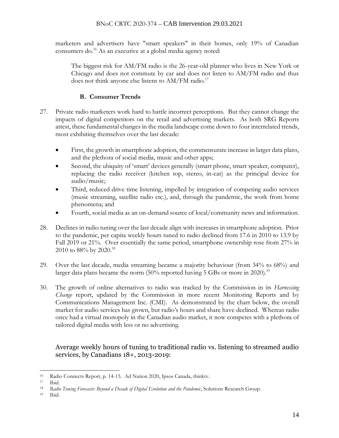marketers and advertisers have "smart speakers" in their homes, only 19% of Canadian consumers do.<sup>16</sup> As an executive at a global media agency noted:

The biggest risk for AM/FM radio is the 26-year-old planner who lives in New York or Chicago and does not commute by car and does not listen to AM/FM radio and thus does not think anyone else listens to AM/FM radio.<sup>17</sup>

# **B. Consumer Trends**

- 27. Private radio marketers work hard to battle incorrect perceptions. But they cannot change the impacts of digital competitors on the retail and advertising markets. As both SRG Reports attest, these fundamental changes in the media landscape come down to four interrelated trends, most exhibiting themselves over the last decade:
	- First, the growth in smartphone adoption, the commensurate increase in larger data plans, and the plethora of social media, music and other apps;
	- Second, the ubiquity of 'smart' devices generally (smart phone, smart speaker, computer), replacing the radio receiver (kitchen top, stereo, in-car) as the principal device for audio/music;
	- Third, reduced drive time listening, impelled by integration of competing audio services (music streaming, satellite radio etc.), and, through the pandemic, the work from home phenomena; and
	- Fourth, social media as an on-demand source of local/community news and information.
- 28. Declines in radio tuning over the last decade align with increases in smartphone adoption. Prior to the pandemic, per capita weekly hours tuned to radio declined from 17.6 in 2010 to 13.9 by Fall 2019 or 21%. Over essentially the same period, smartphone ownership rose from 27% in 2010 to 88% by 2020.<sup>18</sup>
- 29. Over the last decade, media streaming became a majority behaviour (from 34% to 68%) and larger data plans became the norm (50% reported having 5 GBs or more in 2020).<sup>19</sup>
- 30. The growth of online alternatives to radio was tracked by the Commission in its *Harnessing Change* report, updated by the Commission in more recent Monitoring Reports and by Communications Management Inc. (CMI). As demonstrated by the chart below, the overall market for audio services has grown, but radio's hours and share have declined. Whereas radio once had a virtual monopoly in the Canadian audio market, it now competes with a plethora of tailored digital media with less or no advertising.

Average weekly hours of tuning to traditional radio vs. listening to streamed audio services, by Canadians 18+, 2013-2019:

<sup>16</sup> Radio Connects Report, p. 14-15. Ad Nation 2020, Ipsos Canada, thinktv.

<sup>17</sup> Ibid.

<sup>&</sup>lt;sup>18</sup> Radio Tuning Forecasts: Beyond a Decade of Digital Evolution and the Pandemic, Solutions Research Group.

<sup>19</sup> Ibid.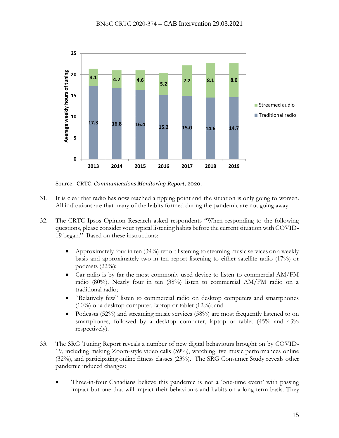

Source: CRTC, *Communications Monitoring Report*, 2020.

- 31. It is clear that radio has now reached a tipping point and the situation is only going to worsen. All indications are that many of the habits formed during the pandemic are not going away.
- 32. The CRTC Ipsos Opinion Research asked respondents "When responding to the following questions, please consider your typical listening habits before the current situation with COVID-19 began." Based on these instructions:
	- Approximately four in ten (39%) report listening to steaming music services on a weekly basis and approximately two in ten report listening to either satellite radio (17%) or podcasts (22%);
	- Car radio is by far the most commonly used device to listen to commercial AM/FM radio (80%). Nearly four in ten (38%) listen to commercial AM/FM radio on a traditional radio;
	- "Relatively few" listen to commercial radio on desktop computers and smartphones (10%) or a desktop computer, laptop or tablet (12%); and
	- Podcasts (52%) and streaming music services (58%) are most frequently listened to on smartphones, followed by a desktop computer, laptop or tablet (45% and 43% respectively).
- 33. The SRG Tuning Report reveals a number of new digital behaviours brought on by COVID-19, including making Zoom-style video calls (59%), watching live music performances online (32%), and participating online fitness classes (23%). The SRG Consumer Study reveals other pandemic induced changes:
	- Three-in-four Canadians believe this pandemic is not a 'one-time event' with passing impact but one that will impact their behaviours and habits on a long-term basis. They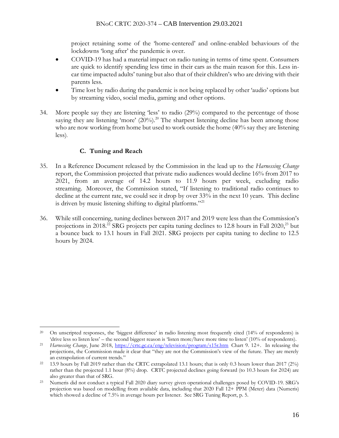project retaining some of the 'home-centered' and online-enabled behaviours of the lockdowns 'long after' the pandemic is over.

- COVID-19 has had a material impact on radio tuning in terms of time spent. Consumers are quick to identify spending less time in their cars as the main reason for this. Less incar time impacted adults' tuning but also that of their children's who are driving with their parents less.
- Time lost by radio during the pandemic is not being replaced by other 'audio' options but by streaming video, social media, gaming and other options.
- 34. More people say they are listening 'less' to radio (29%) compared to the percentage of those saying they are listening 'more'  $(20\%)$ <sup>20</sup>. The sharpest listening decline has been among those who are now working from home but used to work outside the home (40% say they are listening less).

# **C. Tuning and Reach**

- 35. In a Reference Document released by the Commission in the lead up to the *Harnessing Change* report, the Commission projected that private radio audiences would decline 16% from 2017 to 2021, from an average of 14.2 hours to 11.9 hours per week, excluding radio streaming. Moreover, the Commission stated, "If listening to traditional radio continues to decline at the current rate, we could see it drop by over 33% in the next 10 years. This decline is driven by music listening shifting to digital platforms."<sup>21</sup>
- 36. While still concerning, tuning declines between 2017 and 2019 were less than the Commission's projections in 2018.<sup>22</sup> SRG projects per capita tuning declines to 12.8 hours in Fall 2020,<sup>23</sup> but a bounce back to 13.1 hours in Fall 2021. SRG projects per capita tuning to decline to 12.5 hours by 2024.

<sup>&</sup>lt;sup>20</sup> On unscripted responses, the 'biggest difference' in radio listening most frequently cited (14% of respondents) is 'drive less so listen less' – the second biggest reason is 'listen more/have more time to listen' (10% of respondents).

<sup>21</sup> *Harnessing Change*, June 2018, [https://crtc.gc.ca/eng/television/program/s15r.htm](https://ct-url-protection.portal.checkpoint.com/v1/load/GFs04ClNLatccrLXQk07EVXo-_sEXlyiXBSwo66-4v1JXmcGN4vAFdKXmZnl8kG6iz2qx7L_MRh6JQregl4gnMMbMB7FGqgExdeZ35IYGeQaAxwZT87TBFvKszRiUEZXEcJRunmzYDW9sPpeMvqKr0mDbCQsvNaw0EFdQr09mqRJQokxhur1NGC8-kww0_AxTk3gpwlT9k8Pzxnah8NMC8xV_Fkj07RntdTGuDPpOjQJiQ) Chart 9. 12+. In releasing the projections, the Commission made it clear that "they are not the Commission's view of the future. They are merely an extrapolation of current trends."

<sup>22</sup> 13.9 hours by Fall 2019 rather than the CRTC extrapolated 13.1 hours; that is only 0.3 hours lower than 2017 (2%) rather than the projected 1.1 hour (8%) drop. CRTC projected declines going forward (to 10.3 hours for 2024) are also greater than that of SRG.

<sup>23</sup> Numeris did not conduct a typical Fall 2020 diary survey given operational challenges posed by COVID-19. SRG's projection was based on modelling from available data, including that 2020 Fall 12+ PPM (Meter) data (Numeris) which showed a decline of 7.5% in average hours per listener. See SRG Tuning Report, p. 5.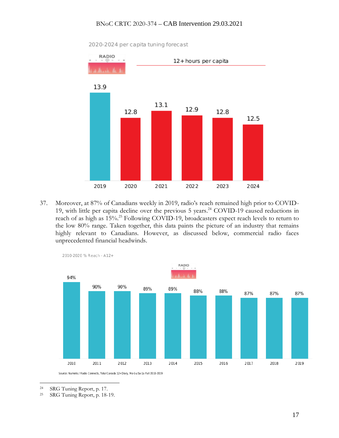#### BNoC CRTC 2020-374 – CAB Intervention 29.03.2021



2020-2024 per capita tuning forecast

37. Moreover, at 87% of Canadians weekly in 2019, radio's reach remained high prior to COVID-19, with little per capita decline over the previous 5 years. <sup>24</sup> COVID-19 caused reductions in reach of as high as 15%.<sup>25</sup> Following COVID-19, broadcasters expect reach levels to return to the low 80% range. Taken together, this data paints the picture of an industry that remains highly relevant to Canadians. However, as discussed below, commercial radio faces unprecedented financial headwinds.



Source: Numeris / Radio Connects, Total Canada 12+Diary, Mo-Su 5a-1a Fall 2010-2019

<sup>&</sup>lt;sup>24</sup> SRG Tuning Report, p. 17.<br><sup>25</sup> SRG Tuning Report p. 18-

SRG Tuning Report, p. 18-19.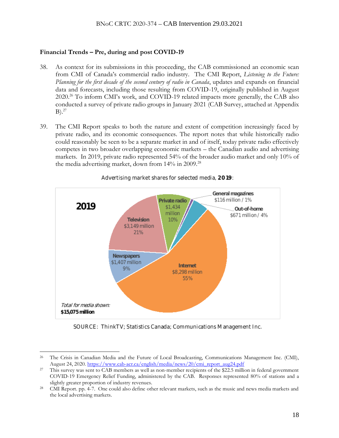### **Financial Trends – Pre, during and post COVID-19**

- 38. As context for its submissions in this proceeding, the CAB commissioned an economic scan from CMI of Canada's commercial radio industry. The CMI Report, *Listening to the Future: Planning for the first decade of the second century of radio in Canada*, updates and expands on financial data and forecasts, including those resulting from COVID-19, originally published in August 2020.<sup>26</sup> To inform CMI's work, and COVID-19 related impacts more generally, the CAB also conducted a survey of private radio groups in January 2021 (CAB Survey, attached at Appendix  $B)$ .<sup>27</sup>
- 39. The CMI Report speaks to both the nature and extent of competition increasingly faced by private radio, and its economic consequences. The report notes that while historically radio could reasonably be seen to be a separate market in and of itself, today private radio effectively competes in two broader overlapping economic markets – the Canadian audio and advertising markets. In 2019, private radio represented 54% of the broader audio market and only 10% of the media advertising market, down from 14% in 2009.<sup>28</sup>



Advertising market shares for selected media, 2019:

SOURCE: ThinkTV; Statistics Canada; Communications M anagement Inc.

<sup>&</sup>lt;sup>26</sup> The Crisis in Canadian Media and the Future of Local Broadcasting, Communications Management Inc. (CMI), August 24, 2020[. https://www.cab-acr.ca/english/media/news/20/cmi\\_report\\_aug24.pdf](https://www.cab-acr.ca/english/media/news/20/cmi_report_aug24.pdf)

<sup>&</sup>lt;sup>27</sup> This survey was sent to CAB members as well as non-member recipients of the \$22.5 million in federal government COVID-19 Emergency Relief Funding, administered by the CAB. Responses represented 80% of stations and a slightly greater proportion of industry revenues.

<sup>&</sup>lt;sup>28</sup> CMI Report. pp. 4-7. One could also define other relevant markets, such as the music and news media markets and the local advertising markets.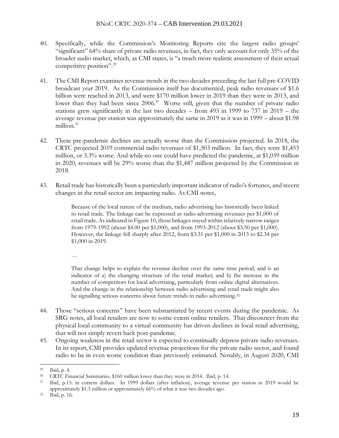- 40. Specifically, while the Commission's Monitoring Reports cite the largest radio groups' "significant" 64% share of private radio revenues, in fact, they only account for only 35% of the broader audio market, which, as CMI states, is "a much more realistic assessment of their actual competitive position".<sup>29</sup>
- 41. The CMI Report examines revenue trends in the two decades preceding the last full pre-COVID broadcast year 2019. As the Commission itself has documented, peak radio revenues of \$1.6 billion were reached in 2013, and were \$170 million lower in 2019 than they were in 2013, and lower than they had been since 2006.<sup>30</sup> Worse still, given that the number of private radio stations grew significantly in the last two decades – from 493 in 1999 to 737 in 2019 – the average revenue per station was approximately the same in 2019 as it was in 1999 – about \$1.98 million. 31
- 42. These pre-pandemic declines are actually worse than the Commission projected. In 2018, the CRTC projected 2019 commercial radio revenues of \$1,503 million. In fact, they were \$1,453 million, or 3.3% worse. And while no one could have predicted the pandemic, at \$1,059 million in 2020, revenues will be 29% worse than the \$1,487 million projected by the Commission in 2018.
- 43. Retail trade has historically been a particularly important indicator of radio's fortunes, and recent changes in the retail sector are impacting radio. As CMI notes,

Because of the local nature of the medium, radio advertising has historically been linked to retail trade. The linkage can be expressed as radio advertising revenues per \$1,000 of retail trade. As indicated in Figure 10, those linkages stayed within relatively narrow ranges from 1979-1992 (about \$4.00 per \$1,000), and from 1993-2012 (about \$3.50 per \$1,000). However, the linkage fell sharply after 2012, from \$3.31 per \$1,000 in 2013 to \$2.34 per \$1,000 in 2019.

…

That change helps to explain the revenue decline over the same time period, and is an indicator of a) the changing structure of the retail market; and b) the increase in the number of competitors for local advertising, particularly from online digital alternatives. And the change in the relationship between radio advertising and retail trade might also be signalling serious concerns about future trends in radio advertising.<sup>32</sup>

- 44. Those "serious concerns" have been substantiated by recent events during the pandemic. As SRG notes, all local retailers are now to some extent online retailers. That disconnect from the physical local community to a virtual community has driven declines in local retail advertising, that will not simply revert back post-pandemic.
- 45. Ongoing weakness in the retail sector is expected to continually depress private radio revenues. In its report, CMI provides updated revenue projections for the private radio sector, and found radio to be in even worse condition than previously estimated. Notably, in August 2020, CMI

<sup>29</sup> Ibid, p. 4.

<sup>30</sup> CRTC Financial Summaries. \$160 million lower than they were in 2014. Ibid, p. 14.

<sup>31</sup> Ibid, p.15. in current dollars. In 1999 dollars (after inflation), average revenue per station in 2019 would be approximately \$1.3 million or approximately 66% of what it was two decades ago.

<sup>32</sup> Ibid, p. 16.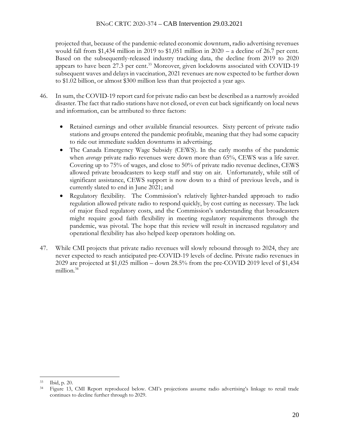### BNoC CRTC 2020-374 – CAB Intervention 29.03.2021

projected that, because of the pandemic-related economic downturn, radio advertising revenues would fall from \$1,434 million in 2019 to \$1,051 million in  $2020 - a$  decline of 26.7 per cent. Based on the subsequently-released industry tracking data, the decline from 2019 to 2020 appears to have been 27.3 per cent. <sup>33</sup> Moreover, given lockdowns associated with COVID-19 subsequent waves and delays in vaccination, 2021 revenues are now expected to be further down to \$1.02 billion, or almost \$300 million less than that projected a year ago.

- 46. In sum, the COVID-19 report card for private radio can best be described as a narrowly avoided disaster. The fact that radio stations have not closed, or even cut back significantly on local news and information, can be attributed to three factors:
	- Retained earnings and other available financial resources. Sixty percent of private radio stations and groups entered the pandemic profitable, meaning that they had some capacity to ride out immediate sudden downturns in advertising;
	- The Canada Emergency Wage Subsidy (CEWS). In the early months of the pandemic when *average* private radio revenues were down more than 65%, CEWS was a life saver. Covering up to 75% of wages, and close to 50% of private radio revenue declines, CEWS allowed private broadcasters to keep staff and stay on air. Unfortunately, while still of significant assistance, CEWS support is now down to a third of previous levels, and is currently slated to end in June 2021; and
	- Regulatory flexibility. The Commission's relatively lighter-handed approach to radio regulation allowed private radio to respond quickly, by cost cutting as necessary. The lack of major fixed regulatory costs, and the Commission's understanding that broadcasters might require good faith flexibility in meeting regulatory requirements through the pandemic, was pivotal. The hope that this review will result in increased regulatory and operational flexibility has also helped keep operators holding on.
- 47. While CMI projects that private radio revenues will slowly rebound through to 2024, they are never expected to reach anticipated pre-COVID-19 levels of decline. Private radio revenues in 2029 are projected at \$1,025 million – down 28.5% from the pre-COVID 2019 level of \$1,434 million.<sup>34</sup>

<sup>33</sup> Ibid, p. 20.

<sup>34</sup> Figure 13, CMI Report reproduced below. CMI's projections assume radio advertising's linkage to retail trade continues to decline further through to 2029.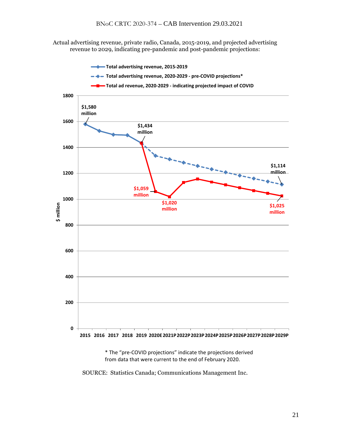Actual advertising revenue, private radio, Canada, 2015-2019, and projected advertising revenue to 2029, indicating pre-pandemic and post-pandemic projections:



\* The "pre‐COVID projections" indicate the projections derived from data that were current to the end of February 2020.

SOURCE: Statistics Canada; Communications Management Inc.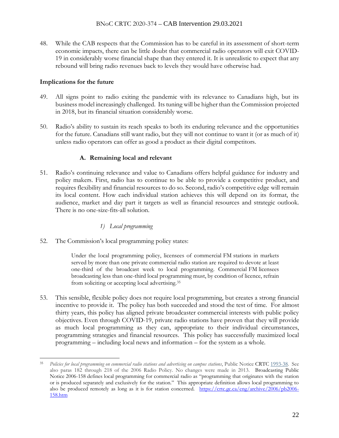48. While the CAB respects that the Commission has to be careful in its assessment of short-term economic impacts, there can be little doubt that commercial radio operators will exit COVID-19 in considerably worse financial shape than they entered it. It is unrealistic to expect that any rebound will bring radio revenues back to levels they would have otherwise had.

### **Implications for the future**

- 49. All signs point to radio exiting the pandemic with its relevance to Canadians high, but its business model increasingly challenged. Its tuning will be higher than the Commission projected in 2018, but its financial situation considerably worse.
- 50. Radio's ability to sustain its reach speaks to both its enduring relevance and the opportunities for the future. Canadians still want radio, but they will not continue to want it (or as much of it) unless radio operators can offer as good a product as their digital competitors.

### **A. Remaining local and relevant**

51. Radio's continuing relevance and value to Canadians offers helpful guidance for industry and policy makers. First, radio has to continue to be able to provide a competitive product, and requires flexibility and financial resources to do so. Second, radio's competitive edge will remain its local content. How each individual station achieves this will depend on its format, the audience, market and day part it targets as well as financial resources and strategic outlook. There is no one-size-fits-all solution.

## *1) Local programming*

52. The Commission's local programming policy states:

Under the local programming policy, licensees of commercial FM stations in markets served by more than one private commercial radio station are required to devote at least one-third of the broadcast week to local programming. Commercial FM licensees broadcasting less than one-third local programming must, by condition of licence, refrain from soliciting or accepting local advertising.<sup>35</sup>

53. This sensible, flexible policy does not require local programming, but creates a strong financial incentive to provide it. The policy has both succeeded and stood the test of time. For almost thirty years, this policy has aligned private broadcaster commercial interests with public policy objectives. Even through COVID-19, private radio stations have proven that they will provide as much local programming as they can, appropriate to their individual circumstances, programming strategies and financial resources. This policy has successfully maximized local programming – including local news and information – for the system as a whole.

<sup>35</sup> *Policies for local programming on commercial radio stations and advertising on campus stations*, Public Notice CRTC [1993-38.](https://ct-url-protection.portal.checkpoint.com/v1/load/sqRcEt6hugrperYB-3WBIl6Gb43_lCH0KSvDt_q3J48UnhKJ54ZYhStbiUkDGP1Bc06GIsvMud3lr6VfHVlMsW5IcGsSFn2WML9shP1vJx-LO9J2XVuRTZn8QphxbCSuoandPZWOev01k210leTtyv3x5m9MdTNQJ91vExuthoIsBrcneAnFH3IUiXPN8vda5OpvBVrzNVihVIVXVThOgjibL04l_DI38eroVNzv2g) See also paras 182 through 218 of the 2006 Radio Policy. No changes were made in 2013. Broadcasting Public Notice [2006-158](https://ct-url-protection.portal.checkpoint.com/v1/load/fIkb1RbLikQwD7B3P3A1U38d-E3GiW3SR6S-Kf3ljmJXxYMOodQRdnVo5izr7Uuql3VjOA-ozW-ts8tmsmoYa7U58I_TSf_X2amLGxLEaw9DHt-1IOUA-hspBAytVMmfgYyPCbDRVrHPtZR-HNFZIqKOdrfAfDrYY0rWbzb-d6WhXTRNui5M7KRSoNqJFMcGStKn9cipilWTeaVTZZK8nbXn27mzSNi0GEPIeg2K1qoDNw) defines local programming for commercial radio as "programming that originates with the station or is produced separately and exclusively for the station." This appropriate definition allows local programming to also be produced remotely as long as it is for station concerned. [https://crtc.gc.ca/eng/archive/2006/pb2006-](https://ct-url-protection.portal.checkpoint.com/v1/load/5WwoMzJSGyc5F5fh2vFr5ZJLwfcWSPLwRFGBeVNoqxTipCZYKINWt7-xhv4blfAemnmKu0aNlwcqgxdlAz-lux6QSsuSKFv1q-_rEJy8h_wo02g5dDXhlyu9RKc29tkCWxrI7R9bbud9kDV_qKBkg1JfFcahKgh6-ZKJaIM5krgq08wCMOv_-zrMr6caH4GKoJeh3oJ7egUI_uw5PgOAmWX1UoozoPyCRjXbnRG1Xb1E1Q) [158.htm](https://ct-url-protection.portal.checkpoint.com/v1/load/5WwoMzJSGyc5F5fh2vFr5ZJLwfcWSPLwRFGBeVNoqxTipCZYKINWt7-xhv4blfAemnmKu0aNlwcqgxdlAz-lux6QSsuSKFv1q-_rEJy8h_wo02g5dDXhlyu9RKc29tkCWxrI7R9bbud9kDV_qKBkg1JfFcahKgh6-ZKJaIM5krgq08wCMOv_-zrMr6caH4GKoJeh3oJ7egUI_uw5PgOAmWX1UoozoPyCRjXbnRG1Xb1E1Q)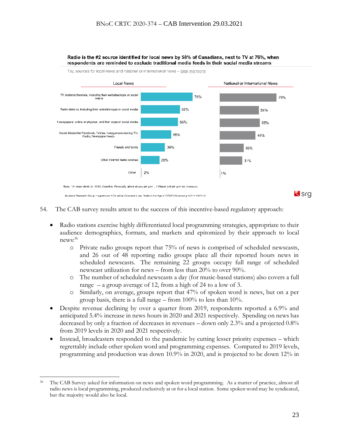

Radio is the #2 source identified for local news by 58% of Canadians, next to TV at 76%, when respondents are reminded to exclude traditional media feeds in their social media streams

- 54. The CAB survey results attest to the success of this incentive-based regulatory approach:
	- Radio stations exercise highly differentiated local programming strategies, appropriate to their audience demographics, formats, and markets and epitomized by their approach to local news: 36
		- o Private radio groups report that 75% of news is comprised of scheduled newscasts, and 26 out of 48 reporting radio groups place all their reported hours news in scheduled newscasts. The remaining 22 groups occupy full range of scheduled newscast utilization for news – from less than 20% to over 90%.
		- o The number of scheduled newscasts a day (for music-based stations) also covers a full range – a group average of 12, from a high of 24 to a low of 3.
		- o Similarly, on average, groups report that 47% of spoken word is news, but on a per group basis, there is a full range – from 100% to less than 10%.
	- Despite revenue declining by over a quarter from 2019, respondents reported a 6.9% and anticipated 5.4% increase in news hours in 2020 and 2021 respectively. Spending on news has decreased by only a fraction of decreases in revenues – down only 2.3% and a projected 0.8% from 2019 levels in 2020 and 2021 respectively.
	- Instead, broadcasters responded to the pandemic by cutting lesser priority expenses which regrettably include other spoken word and programming expenses. Compared to 2019 levels, programming and production was down 10.9% in 2020, and is projected to be down 12% in

<sup>36</sup> The CAB Survey asked for information on news and spoken word programming. As a matter of practice, almost all radio news is local programming, produced exclusively at or for a local station. Some spoken word may be syndicated, but the majority would also be local.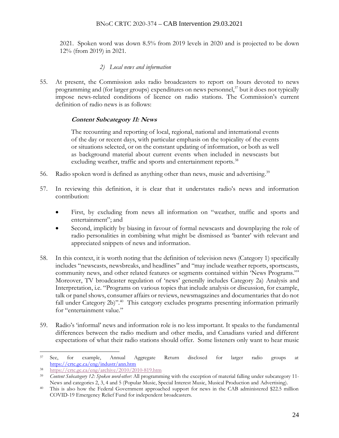#### BNoC CRTC 2020-374 – CAB Intervention 29.03.2021

2021. Spoken word was down 8.5% from 2019 levels in 2020 and is projected to be down 12% (from 2019) in 2021.

### *2) Local news and information*

55. At present, the Commission asks radio broadcasters to report on hours devoted to news programming and (for larger groups) expenditures on news personnel, $37$  but it does not typically impose news-related conditions of licence on radio stations. The Commission's current definition of radio news is as follows:

### **Content Subcategory 11: News**

The recounting and reporting of local, regional, national and international events of the day or recent days, with particular emphasis on the topicality of the events or situations selected, or on the constant updating of information, or both as well as background material about current events when included in newscasts but excluding weather, traffic and sports and entertainment reports.<sup>38</sup>

- 56. Radio spoken word is defined as anything other than news, music and advertising.<sup>39</sup>
- 57. In reviewing this definition, it is clear that it understates radio's news and information contribution:
	- First, by excluding from news all information on "weather, traffic and sports and entertainment"; and
	- Second, implicitly by biasing in favour of formal newscasts and downplaying the role of radio personalities in combining what might be dismissed as 'banter' with relevant and appreciated snippets of news and information.
- 58. In this context, it is worth noting that the definition of television news (Category 1) specifically includes "newscasts, newsbreaks, and headlines" and "may include weather reports, sportscasts, community news, and other related features or segments contained within 'News Programs.'" Moreover, TV broadcaster regulation of 'news' generally includes Category 2a) Analysis and Interpretation, i.e. "Programs on various topics that include analysis or discussion, for example, talk or panel shows, consumer affairs or reviews, newsmagazines and documentaries that do not fall under Category 2b)".<sup>40</sup> This category excludes programs presenting information primarily for "entertainment value."
- 59. Radio's 'informal' news and information role is no less important. It speaks to the fundamental differences between the radio medium and other media, and Canadians varied and different expectations of what their radio stations should offer. Some listeners only want to hear music

<sup>37</sup> See, for example, Annual Aggregate Return disclosed for larger radio groups at [https://crtc.gc.ca/eng/industr/ann.htm](https://ct-url-protection.portal.checkpoint.com/v1/load/36_kvogWyRgxIMSPc7_cdCTAw9vIRpr-Y74q6i5jTdWE0ufvZ1JnoLegW39IhN5R6vpsw6p9ZvGTM3TVjHndWWQc9eSGBTu7-VHRkhe-C5R-FaDg8n3Ah-mYf8Bz_GV5ufCE9EwR5juD_Jx-ybr5Haa-HMhKXuzBxCmxmTJOodQOz2BVPGBzQaFoAS6lg9mw5LRGuUIjBYI4sEe5v8NIJN037vb5QA)

<sup>38</sup> [https://crtc.gc.ca/eng/archive/2010/2010-819.htm](https://ct-url-protection.portal.checkpoint.com/v1/load/YRlXzwF4CkcE_6tFZfZz-lVOW2uvgZtM5iFRF373sfkm0VIaotFdInlJ3tUN4VUeKgamJ-DqfI4xI_VuyN0n2yQF0O5BSB0uD-NllQk3jM_j6KRpd3MFVDsCQXA6OWaLgyf9ogzYRJ1aTUQ5w3owbVcjZpfRIqU_q5qwx2nUi4IxtqFlgY-8RM7Tn_ChYMG0lRVyeTqmmqIDagbU0kGoL54Em-WbIn0_wQypy-5Lke8)

<sup>39</sup> *Content Subcategory 12: Spoken word-other:* All programming with the exception of material falling under subcategory 11- News and categories 2, 3, 4 and 5 (Popular Music, Special Interest Music, Musical Production and Advertising).

<sup>40</sup> This is also how the Federal Government approached support for news in the CAB administered \$22.5 million COVID-19 Emergency Relief Fund for independent broadcasters.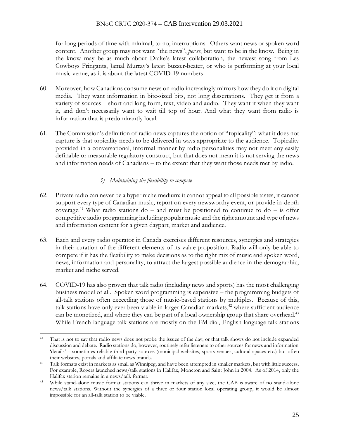for long periods of time with minimal, to no, interruptions. Others want news or spoken word content. Another group may not want "the news", *per se*, but want to be in the know. Being in the know may be as much about Drake's latest collaboration, the newest song from Les Cowboys Fringants, Jamal Murray's latest buzzer-beater, or who is performing at your local music venue, as it is about the latest COVID-19 numbers.

- 60. Moreover, how Canadians consume news on radio increasingly mirrors how they do it on digital media. They want information in bite-sized bits, not long dissertations. They get it from a variety of sources – short and long form, text, video and audio. They want it when they want it, and don't necessarily want to wait till top of hour. And what they want from radio is information that is predominantly local.
- 61. The Commission's definition of radio news captures the notion of "topicality"; what it does not capture is that topicality needs to be delivered in ways appropriate to the audience. Topicality provided in a conversational, informal manner by radio personalities may not meet any easily definable or measurable regulatory construct, but that does not mean it is not serving the news and information needs of Canadians – to the extent that they want those needs met by radio.

# *3) Maintaining the flexibility to compete*

- 62. Private radio can never be a hyper niche medium; it cannot appeal to all possible tastes, it cannot support every type of Canadian music, report on every newsworthy event, or provide in-depth coverage.<sup>41</sup> What radio stations do – and must be positioned to continue to do – is offer competitive audio programming including popular music and the right amount and type of news and information content for a given daypart, market and audience.
- 63. Each and every radio operator in Canada exercises different resources, synergies and strategies in their curation of the different elements of its value proposition. Radio will only be able to compete if it has the flexibility to make decisions as to the right mix of music and spoken word, news, information and personality, to attract the largest possible audience in the demographic, market and niche served.
- 64. COVID-19 has also proven that talk radio (including news and sports) has the most challenging business model of all. Spoken word programming is expensive – the programming budgets of all-talk stations often exceeding those of music-based stations by multiples. Because of this, talk stations have only ever been viable in larger Canadian markets,<sup>42</sup> where sufficient audience can be monetized, and where they can be part of a local ownership group that share overhead.<sup>43</sup> While French-language talk stations are mostly on the FM dial, English-language talk stations

<sup>&</sup>lt;sup>41</sup> That is not to say that radio news does not probe the issues of the day, or that talk shows do not include expanded discussion and debate. Radio stations do, however, routinely refer listeners to other sources for news and information 'details' – sometimes reliable third-party sources (municipal websites, sports venues, cultural spaces etc.) but often their websites, portals and affiliate news brands.

<sup>42</sup> Talk formats exist in markets as small as Winnipeg, and have been attempted in smaller markets, but with little success. For example, Rogers launched news/talk stations in Halifax, Moncton and Saint John in 2004. As of 2014, only the Halifax station remains in a news/talk format.

<sup>43</sup> While stand-alone music format stations can thrive in markets of any size, the CAB is aware of no stand-alone news/talk stations. Without the synergies of a three or four station local operating group, it would be almost impossible for an all-talk station to be viable.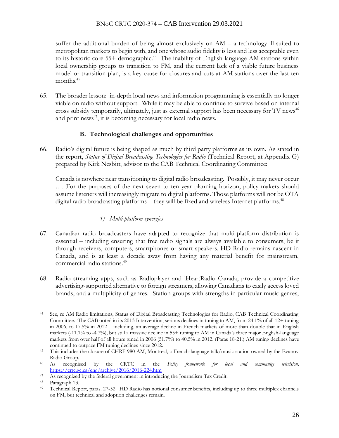suffer the additional burden of being almost exclusively on AM – a technology ill-suited to metropolitan markets to begin with, and one whose audio fidelity is less and less acceptable even to its historic core 55+ demographic.<sup>44</sup> The inability of English-language AM stations within local ownership groups to transition to FM, and the current lack of a viable future business model or transition plan, is a key cause for closures and cuts at AM stations over the last ten months.<sup>45</sup>

65. The broader lesson: in-depth local news and information programming is essentially no longer viable on radio without support. While it may be able to continue to survive based on internal cross subsidy temporarily, ultimately, just as external support has been necessary for TV news<sup>46</sup> and print news<sup>47</sup>, it is becoming necessary for local radio news.

# **B. Technological challenges and opportunities**

66. Radio's digital future is being shaped as much by third party platforms as its own. As stated in the report, *Status of Digital Broadcasting Technologies for Radio* (Technical Report, at Appendix G) prepared by Kirk Nesbitt, advisor to the CAB Technical Coordinating Committee:

Canada is nowhere near transitioning to digital radio broadcasting. Possibly, it may never occur …. For the purposes of the next seven to ten year planning horizon, policy makers should assume listeners will increasingly migrate to digital platforms. Those platforms will not be OTA digital radio broadcasting platforms – they will be fixed and wireless Internet platforms.<sup>48</sup>

# *1) Multi-platform synergies*

- 67. Canadian radio broadcasters have adapted to recognize that multi-platform distribution is essential – including ensuring that free radio signals are always available to consumers, be it through receivers, computers, smartphones or smart speakers. HD Radio remains nascent in Canada, and is at least a decade away from having any material benefit for mainstream, commercial radio stations.<sup>49</sup>
- 68. Radio streaming apps, such as Radioplayer and iHeartRadio Canada, provide a competitive advertising-supported alternative to foreign streamers, allowing Canadians to easily access loved brands, and a multiplicity of genres. Station groups with strengths in particular music genres,

<sup>44</sup> See, re AM Radio limitations, Status of Digital Broadcasting Technologies for Radio, CAB Technical Coordinating Committee. The CAB noted in its 2013 Intervention, serious declines in tuning to AM, from 24.1% of all 12+ tuning in 2006, to 17.5% in 2012 – including, an average decline in French markets of more than double that in English markets (-11.1% to -4.7%), but still a massive decline in 55+ tuning to AM in Canada's three major English-language markets from over half of all hours tuned in 2006 (51.7%) to 40.5% in 2012. (Paras 18-21.) AM tuning declines have continued to outpace FM tuning declines since 2012.

<sup>&</sup>lt;sup>45</sup> This includes the closure of CHRF 980 AM, Montreal, a French-language talk/music station owned by the Evanov Radio Group.

<sup>46</sup> As recognised by the CRTC in the *Policy framework for local and community television*. <https://crtc.gc.ca/eng/archive/2016/2016-224.htm>

<sup>47</sup> As recognized by the federal government in introducing the Journalism Tax Credit.

<sup>48</sup> Paragraph 13.

<sup>49</sup> Technical Report, paras. 27-52. HD Radio has notional consumer benefits, including up to three multiplex channels on FM, but technical and adoption challenges remain.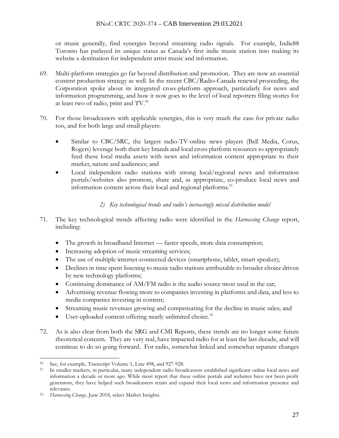or music generally, find synergies beyond streaming radio signals. For example, Indie88 Toronto has parlayed its unique status as Canada's first indie music station into making its website a destination for independent artist music and information.

- 69. Multi-platform strategies go far beyond distribution and promotion. They are now an essential content production strategy as well. In the recent CBC/Radio-Canada renewal proceeding, the Corporation spoke about its integrated cross-platform approach, particularly for news and information programming, and how it now goes to the level of local reporters filing stories for at least two of radio, print and TV.<sup>50</sup>
- 70. For those broadcasters with applicable synergies, this is very much the case for private radio too, and for both large and small players:
	- Similar to CBC/SRC, the largest radio-TV-online news players (Bell Media, Corus, Rogers) leverage both their key brands and local cross platform resources to appropriately feed these local media assets with news and information content appropriate to their market, nature and audiences; and
	- Local independent radio stations with strong local/regional news and information portals/websites also promote, share and, as appropriate, co-produce local news and information content across their local and regional platforms.<sup>51</sup>

# *2) Key technological trends and radio's increasingly mixed distribution model*

- 71. The key technological trends affecting radio were identified in the *Harnessing Change* report, including:
	- The growth in broadband Internet faster speeds, more data consumption;
	- Increasing adoption of music streaming services;
	- The use of multiple internet-connected devices (smartphone, tablet, smart speaker);
	- Declines in time spent listening to music radio stations attributable to broader choice driven by new technology platforms;
	- Continuing dominance of AM/FM radio is the audio source most used in the car;
	- Advertising revenue flowing more to companies investing in platforms and data, and less to media companies investing in content;
	- Streaming music revenues growing and compensating for the decline in music sales; and
	- User-uploaded content offering nearly unlimited choice.<sup>52</sup>
- 72. As is also clear from both the SRG and CMI Reports, these trends are no longer some future theoretical concern. They are very real, have impacted radio for at least the last decade, and will continue to do so going forward. For radio, somewhat linked and somewhat separate changes

<sup>50</sup> See, for example, Transcript Volume 1, Line 498, and 927-928.

<sup>51</sup> In smaller markets, in particular, many independent radio broadcasters established significant online local news and information a decade or more ago. While most report that these online portals and websites have not been profit generators, they have helped such broadcasters retain and expand their local news and information presence and relevance.

Harnessing Change, June 2018, select Market Insights.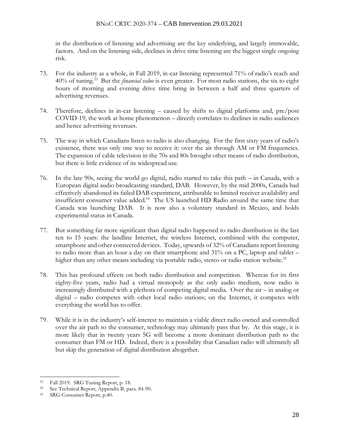in the distribution of listening and advertising are the key underlying, and largely immovable, factors. And on the listening side, declines in drive time listening are the biggest single ongoing risk.

- 73. For the industry as a whole, in Fall 2019, in-car listening represented 71% of radio's reach and 40% of tuning.<sup>53</sup> But the *financial value* is even greater. For most radio stations, the six to eight hours of morning and evening drive time bring in between a half and three quarters of advertising revenues.
- 74. Therefore, declines in in-car listening caused by shifts to digital platforms and, pre/post COVID-19, the work at home phenomenon – directly correlates to declines in radio audiences and hence advertising revenues.
- 75. The way in which Canadians listen to radio is also changing. For the first sixty years of radio's existence, there was only one way to receive it: over the air through AM or FM frequencies. The expansion of cable television in the 70s and 80s brought other means of radio distribution, but there is little evidence of its widespread use.
- 76. In the late 90s, seeing the world go digital, radio started to take this path in Canada, with a European digital audio broadcasting standard, DAB. However, by the mid 2000s, Canada had effectively abandoned its failed DAB experiment, attributable to limited receiver availability and insufficient consumer value added. 54 The US launched HD Radio around the same time that Canada was launching DAB. It is now also a voluntary standard in Mexico, and holds experimental status in Canada.
- 77. But something far more significant than digital radio happened to radio distribution in the last ten to 15 years: the landline Internet, the wireless Internet, combined with the computer, smartphone and other connected devices. Today, upwards of 32% of Canadians report listening to radio more than an hour a day on their smartphone and 31% on a PC, laptop and tablet – higher than any other means including via portable radio, stereo or radio station website.<sup>55</sup>
- 78. This has profound effects on both radio distribution and competition. Whereas for its first eighty-five years, radio had a virtual monopoly as the only audio medium, now radio is increasingly distributed with a plethora of competing digital media. Over the air – in analog or digital – radio competes with other local radio stations; on the Internet, it competes with everything the world has to offer.
- 79. While it is in the industry's self-interest to maintain a viable direct radio owned and controlled over the air path to the consumer, technology may ultimately pass that by. At this stage, it is more likely that in twenty years 5G will become a more dominant distribution path to the consumer than FM or HD. Indeed, there is a possibility that Canadian radio will ultimately all but skip the generation of digital distribution altogether.

<sup>53</sup> Fall 2019. SRG Tuning Report, p. 18.

<sup>54</sup> See Technical Report, Appendix B, para. 84-90.

<sup>55</sup> SRG Consumer Report, p.40.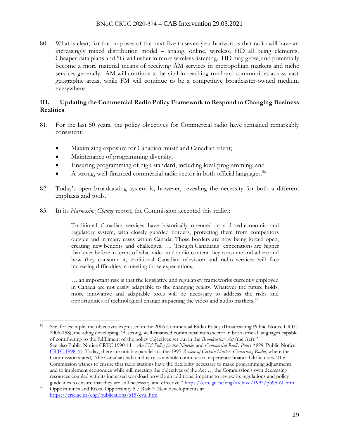80. What is clear, for the purposes of the next five to seven year horizon, is that radio will have an increasingly mixed distribution model – analog, online, wireless, HD all being elements. Cheaper data plans and 5G will usher in more wireless listening. HD may grow, and potentially become a more material means of receiving AM services in metropolitan markets and niche services generally. AM will continue to be vital in reaching rural and communities across vast geographic areas, while FM will continue to be a competitive broadcaster-owned medium everywhere.

### **III. Updating the Commercial Radio Policy Framework to Respond to Changing Business Realities**

- 81. For the last 50 years, the policy objectives for Commercial radio have remained remarkably consistent:
	- Maximizing exposure for Canadian music and Canadian talent;
	- Maintenance of programming diversity;
	- Ensuring programming of high standard, including local programming; and
	- A strong, well-financed commercial radio sector in both official languages.<sup>56</sup>
- 82. Today's open broadcasting system is, however, revealing the necessity for both a different emphasis and tools.
- 83. In its *Harnessing Change* report, the Commission accepted this reality:

Traditional Canadian services have historically operated in a [closed](https://ct-url-protection.portal.checkpoint.com/v1/load/WAVjW1ppt00y3VZQFd4hnw12TC7ZeNy0kzjv9F4_xn4eAu11qJIF0X67Oa2z44Qd4n56nRkzgaBCUk_yGUlOAf1XxwNwy9fnTWS1CRj_Zr78QZKlrxEE1JscRnM04Ps-kAg3InMwoIlmuJseLwcFaJvz3ed3-BwTDqlengL4BZsGmokpY31LY7TVfqYqDpNftHZDIsKr3TxBHUDlj6BCVDfCiUaC8JpG0yq4tLDWpxw#r5) economic and regulatory system, with closely guarded borders, protecting them from competitors outside and in many cases within Canada. Those borders are now being [forced open,](https://ct-url-protection.portal.checkpoint.com/v1/load/d0MtHb-QtMW9_S5J4mC_Gwc1FT2YnhsHdL3HsRkMWn5keDNa3xE1hNHs8kVnup_CQ-A0NIqdrtjpaGFSCTgZQwSMDvVQTob2GpdxRs6tTjsSd8WE1D5eQDiQmSR3q9Pzsbxjo1jffOQvfUnfGhrEBfJH3oWY1gyAshgjO2ajiyEo9yb6xaz4djqrJidVZ3dTuwRFJ2IzU4pQJppaa1ZhMUssmhF1Zpr5HYIoYlZng_A#m13) creating new [benefits and challenges.](https://ct-url-protection.portal.checkpoint.com/v1/load/auaFdHNj9BoVa9XtpCtfSLosYmYcqrgvcWl-wp3uM0N04O1QJvO8bqX7Ezb7bN8pWd9zhtPbcQucDgVatMyZNdJ8KjYwp9tBa0T5Vh6jQ4Hl7-jn6CRiFB8HhvO65jc4oQTFuQHgwdM0VzGN-_eNwc1LA5FKXp88--DneNk9EWJOFl3SkPuwbfpTAl8rlPXbQiK5vVK8uij8ueRDyOYcifKJlHsfx3e5hv3bg7wL9Qc#o1) …. Though [Canadians' expectations](https://ct-url-protection.portal.checkpoint.com/v1/load/zcam2wYbLAw2ZorR8wl5ki1cVAF-NEQTPfywg0EflQonf4jzXKPuLGttG_Hs1-69sZFn-_s_-BPJaYXJQyoPViGmuEcpAeEdUkBr4zDQ2VCBE7ZiXswEbL_erAh91Oo81d2H6qqe8S0Kayb6yjy0UqjZI_kLo5J0Yv1JOIdWOmt8e-YJDLiW3fVvdfyYginteTdlXonNcuJRzoAzzmKWYO3nDrCmCBma4vuPB5PoX3Q#r4) are higher than ever before in terms of what [video](https://ct-url-protection.portal.checkpoint.com/v1/load/HOIdaTF5xcvFi9r9jyvcGjQr0iHF4WCLgDU6_d4AbZha5YOkyYKBLPJ8sUJqyOKKd6_-FBhjZNPqqOgyLt5wxd22Kk_bIDxnmwR63YdB-pjbfBayXxN6ialAuPcFsy3cQZ0WneY0DqwY4tgVVp6ybuMMWsobzmMNdUrtgLOyno6RkKpz44OGSlTfPrlzNpUFmL_AIh88-IT_hpk0h35x-Gp6C-SwtQht8OlAL8HBehk#m4) and [audio](https://ct-url-protection.portal.checkpoint.com/v1/load/wSMza7oSQYgNHx94EWW2v7mHhtmlZbY43FCZM9ZAwoEY1ICy-Tq0LR4ommre0UjckAvyRcHN7XfFO2W60eARIQlvdp_GBqCoCiglsk_fZ_JnOJM6msYXRO0_oz6_z5iKA7DKsa3B4CsEjF4F2s0cqo-R1DrzbAuxO4YT239Wd_YtysH40gj7Q6OR4e5lAnQ1WluhocR7cn9pyyqwas1A1icncXKh303Ax93XiwevtQI#m6) content they consume and where and how they consume it, traditional Canadian television and radio services will face increasing difficulties in meeting those expectations.

… an important risk is that the legislative and regulatory frameworks currently employed in Canada are not easily adaptable to the changing reality. Whatever the future holds, more innovative and adaptable tools will be necessary to address the risks and opportunities of technological change impacting the video and audio markets.<sup>57</sup>

<sup>56</sup> See, for example, the objectives expressed in the 2006 Commercial Radio Policy (Broadcasting Public Notice CRTC 2006-158), including developing "A strong, well-financed commercial radio sector in both official languages capable of contributing to the fulfillment of the policy objectives set out in the *Broadcasting Act* (the Act)." See also Public Notice CRTC 1990-111, *An FM Policy for the Nineties* and *Commercial Radio Policy 1998*, Public Notice [CRTC 1998-41.](https://ct-url-protection.portal.checkpoint.com/v1/load/EwWDftDXURSbBFdbVETlJ-6QDDXVMzwqf5UdU1WPsSaanAht28pYYatnoCQZLSOqfMS_-c7EQiYgZSREHDRFnPASBGVteTLByuThPwL3u6lCH8tcG4D_zRH94hMEgvy6cRtlPhmA66LAyt0J5tIswqaxLOySd54ilUDNMOS4hAxmYAnL31N6oTJBSZdmJaYQlzqumGmhQnjrHmKXldBpl9XcUt4u4FeHdO2tnc0kOQ) Today, there are notable parallels to the 1995 *Review of Certain Matters Concerning Radio*, where the Commission stated, "the Canadian radio industry as a whole continues to experience financial difficulties. The Commission wishes to ensure that radio stations have the flexibility necessary to make programming adjustments and to implement economies while still meeting the objectives of the Act … the Commission's own decreasing resources coupled with its increased workload provide an additional impetus to review its regulations and policy guidelines to ensure that they are still necessary and effective." [https://crtc.gc.ca/eng/archive/1995/pb95-60.htm](https://ct-url-protection.portal.checkpoint.com/v1/load/FZNBzKOb4H6ZmCDfLHf1_RLsDtdsFU_se0bIYCIMHCiOWgMD_THL77U6PNtfrnReqvc9YMvAvp-_fOY2nP9B6Vn-hbP9cW6xqm4_2VWo04YVgDqbA732-nDcBERfZMILhAWvcqVGwzg06XdkiwLmm35KFGxCQlbe3t68VaKgJDohNfschYxr-S176tHHequJbgehCVlB7AYKi7uOS3lPCWKwE1dtJqJ2JqkZNxOtJQ)

<sup>57</sup> Opportunities and Risks. Opportunity 5 / Risk 7: New developments at <https://crtc.gc.ca/eng/publications/s15/eval.htm>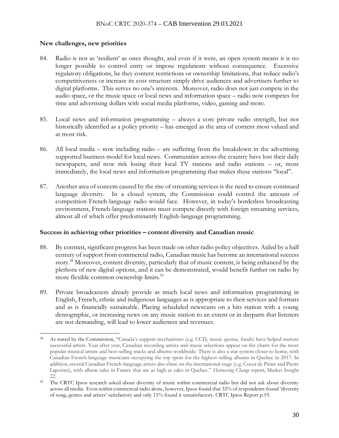#### **New challenges, new priorities**

- 84. Radio is not as 'resilient' as once thought, and even if it were, an open system means it is no longer possible to control entry or impose regulations without consequence. Excessive regulatory obligations, be they content restrictions or ownership limitations, that reduce radio's competitiveness or increase its cost structure simply drive audiences and advertisers further to digital platforms. This serves no one's interests. Moreover, radio does not just compete in the audio space, or the music space or local news and information space – radio now competes for time and advertising dollars with social media platforms, video, gaming and more.
- 85. Local news and information programming always a core private radio strength, but not historically identified as a policy priority – has emerged as the area of content most valued and at most risk.
- 86. All local media now including radio are suffering from the breakdown in the advertising supported business model for local news. Communities across the country have lost their daily newspapers, and now risk losing their local TV stations and radio stations – or, more immediately, the local news and information programming that makes these stations "local".
- 87. Another area of concern caused by the rise of streaming services is the need to ensure continued language diversity. In a closed system, the Commission could control the amount of competition French-language radio would face. However, in today's borderless broadcasting environment, French-language stations must compete directly with foreign streaming services, almost all of which offer predominantly English-language programming.

#### **Success in achieving other priorities – content diversity and Canadian music**

- 88. By contrast, significant progress has been made on other radio policy objectives. Aided by a half century of support from commercial radio, Canadian music has become an international success story.<sup>58</sup> Moreover, content diversity, particularly that of music content, is being enhanced by the plethora of new digital options, and it can be demonstrated, would benefit further on radio by more flexible common ownership limits.<sup>59</sup>
- 89. Private broadcasters already provide as much local news and information programming in English, French, ethnic and indigenous languages as is appropriate to their services and formats and as is financially sustainable. Placing scheduled newscasts on a hits station with a young demographic, or increasing news on any music station to an extent or in dayparts that listeners are not demanding, will lead to lower audiences and revenues.

As stated by the Commission, "Canada's support mechanisms (e.g. CCD, music quotas, funds) have helped nurture successful artists. Year after year, Canadian recording artists and music selections appear on the charts for the most popular musical artists and best-selling tracks and albums worldwide. There is also a star system closer to home, with Canadian French-language musicians occupying the top spots for the highest-selling albums in Quebec in 2017. In addition, several Canadian French-language artists also shine on the international stage (e.g. Coeur de Pirate and Pierre Lapointe), with album sales in France that are as high as sales in Quebec." *Harnessing Change* report, Market Insight 22.

<sup>&</sup>lt;sup>59</sup> The CRTC Ipsos research asked about diversity of music within commercial radio but did not ask about diversity across all media. Even within commercial radio alone, however, Ipsos found that 32% of respondents found 'diversity of song, genres and artists' satisfactory and only 11% found it unsatisfactory. CRTC Ipsos Report p.19.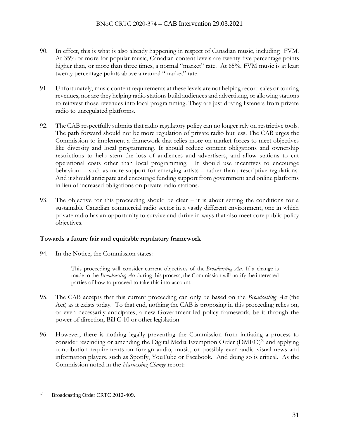- 90. In effect, this is what is also already happening in respect of Canadian music, including FVM. At 35% or more for popular music, Canadian content levels are twenty five percentage points higher than, or more than three times, a normal "market" rate. At 65%, FVM music is at least twenty percentage points above a natural "market" rate.
- 91. Unfortunately, music content requirements at these levels are not helping record sales or touring revenues, nor are they helping radio stations build audiences and advertising, or allowing stations to reinvest those revenues into local programming. They are just driving listeners from private radio to unregulated platforms.
- 92. The CAB respectfully submits that radio regulatory policy can no longer rely on restrictive tools. The path forward should not be more regulation of private radio but less. The CAB urges the Commission to implement a framework that relies more on market forces to meet objectives like diversity and local programming. It should reduce content obligations and ownership restrictions to help stem the loss of audiences and advertisers, and allow stations to cut operational costs other than local programming. It should use incentives to encourage behaviour – such as more support for emerging artists – rather than prescriptive regulations. And it should anticipate and encourage funding support from government and online platforms in lieu of increased obligations on private radio stations.
- 93. The objective for this proceeding should be clear it is about setting the conditions for a sustainable Canadian commercial radio sector in a vastly different environment, one in which private radio has an opportunity to survive and thrive in ways that also meet core public policy objectives.

#### **Towards a future fair and equitable regulatory framework**

94. In the Notice, the Commission states:

This proceeding will consider current objectives of the *Broadcasting Act*. If a change is made to the *Broadcasting Act* during this process, the Commission will notify the interested parties of how to proceed to take this into account.

- 95. The CAB accepts that this current proceeding can only be based on the *Broadcasting Act* (the Act) as it exists today. To that end, nothing the CAB is proposing in this proceeding relies on, or even necessarily anticipates, a new Government-led policy framework, be it through the power of direction, Bill C-10 or other legislation.
- 96. However, there is nothing legally preventing the Commission from initiating a process to consider rescinding or amending the Digital Media Exemption Order (DMEO)<sup>60</sup> and applying contribution requirements on foreign audio, music, or possibly even audio-visual news and information players, such as Spotify, YouTube or Facebook. And doing so is critical. As the Commission noted in the *Harnessing Change* report:

<sup>&</sup>lt;sup>60</sup> Broadcasting Order CRTC 2012-409.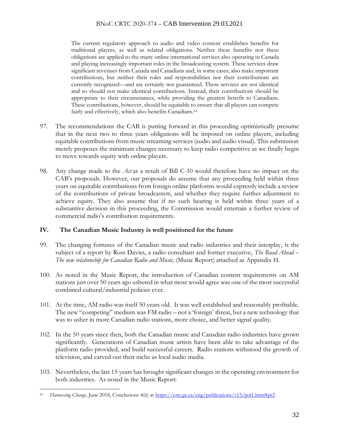The current regulatory approach to audio and video content establishes benefits for traditional players, as well as related obligations. Neither these benefits nor these obligations are applied to the many online international services also operating in Canada and playing increasingly important roles in the broadcasting system. These services draw significant revenues from Canada and Canadians and, in some cases, also make important contributions, but neither their roles and responsibilities nor their contributions are currently recognized—and are certainly not guaranteed. These services are not identical and so should not make identical contributions. Instead, their contributions should be appropriate to their circumstances, while providing the greatest benefit to Canadians. These contributions, however, should be equitable to ensure that all players can compete fairly and effectively, which also benefits Canadians.<sup>61</sup>

- 97. The recommendations the CAB is putting forward in this proceeding optimistically presume that in the next two to three years obligations will be imposed on online players, including equitable contributions from music streaming services (audio and audio visual). This submission merely proposes the minimum changes necessary to keep radio competitive as we finally begin to move towards equity with online players.
- 98. Any change made to the *Act* as a result of Bill C-10 would therefore have no impact on the CAB's proposals. However, our proposals do assume that any proceeding held within three years on equitable contributions from foreign online platforms would expressly include a review of the contributions of private broadcasters, and whether they require further adjustment to achieve equity. They also assume that if no such hearing is held within three years of a substantive decision in this proceeding, the Commission would entertain a further review of commercial radio's contribution requirements.

#### **IV. The Canadian Music Industry is well positioned for the future**

- 99. The changing fortunes of the Canadian music and radio industries and their interplay, is the subject of a report by Ross Davies, a radio consultant and former executive, *The Road Ahead – The new relationship for Canadian Radio and Music,* (Music Report) attached as Appendix H.
- 100. As noted in the Music Report, the introduction of Canadian content requirements on AM stations just over 50 years ago ushered in what most would agree was one of the most successful combined cultural/industrial policies ever.
- 101. At the time, AM radio was itself 50 years old. It was well established and reasonably profitable. The new "competing" medium was FM radio – not a 'foreign' threat, but a new technology that was to usher in more Canadian radio stations, more choice, and better signal quality.
- 102. In the 50 years since then, both the Canadian music and Canadian radio industries have grown significantly. Generations of Canadian music artists have been able to take advantage of the platform radio provided, and build successful careers. Radio stations withstood the growth of television, and carved out their niche as local audio media.
- 103. Nevertheless, the last 15 years has brought significant changes in the operating environment for both industries. As noted in the Music Report:

<sup>61</sup> *Harnessing Change*, June 2018, Conclusions 4(ii) at [https://crtc.gc.ca/eng/publications/s15/pol1.htm#pr2](https://ct-url-protection.portal.checkpoint.com/v1/load/pnbjtkZyZFIOJV1JjctGgj9PXilYavXUTfcSsoF6xI8z7I99rXHjcZ-FUZ0QslcxZvoS3UGzqtHHr2DVdsDl5OvGdx1VAC_Uv7CEYE-pJ4qUxclpzMoTsId4H4NG_HYXF84E6GktNKvbkOAaHnGWNiJ4mjDxiMSQYRDPwkPAU-_2yvuqt4JY6XPL6DlrYsehhF-aM1M3PchqfGwnlJmxanfKx9sY5xk-hrQYkTrPnHs#pr2)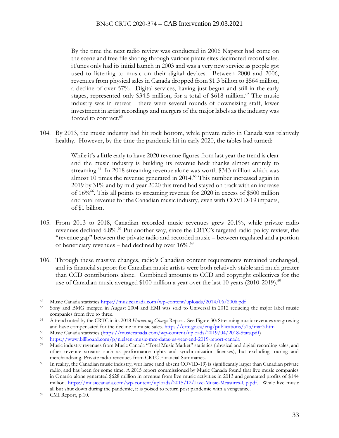By the time the next radio review was conducted in 2006 Napster had come on the scene and free file sharing through various pirate sites decimated record sales. iTunes only had its initial launch in 2003 and was a very new service as people got used to listening to music on their digital devices. Between 2000 and 2006, revenues from physical sales in Canada dropped from \$1.3 billion to \$564 million, a decline of over 57%. Digital services, having just begun and still in the early stages, represented only \$34.5 million, for a total of \$618 million.<sup>62</sup> The music industry was in retreat - there were several rounds of downsizing staff, lower investment in artist recordings and mergers of the major labels as the industry was forced to contract.<sup>63</sup>

104. By 2013, the music industry had hit rock bottom, while private radio in Canada was relatively healthy. However, by the time the pandemic hit in early 2020, the tables had turned:

> While it's a little early to have 2020 revenue figures from last year the trend is clear and the music industry is building its revenue back thanks almost entirely to streaming.<sup>64</sup> In 2018 streaming revenue alone was worth \$343 million which was almost 10 times the revenue generated in 2014.<sup>65</sup> This number increased again in 2019 by 31% and by mid-year 2020 this trend had stayed on track with an increase of 16%<sup>66</sup>. This all points to streaming revenue for 2020 in excess of \$500 million and total revenue for the Canadian music industry, even with COVID-19 impacts, of \$1 billion.

- 105. From 2013 to 2018, Canadian recorded music revenues grew 20.1%, while private radio revenues declined 6.8%.<sup>67</sup> Put another way, since the CRTC's targeted radio policy review, the "revenue gap" between the private radio and recorded music – between regulated and a portion of beneficiary revenues - had declined by over 16%.<sup>68</sup>
- 106. Through these massive changes, radio's Canadian content requirements remained unchanged, and its financial support for Canadian music artists were both relatively stable and much greater than CCD contributions alone. Combined amounts to CCD and copyright collectives for the use of Canadian music averaged \$100 million a year over the last 10 years (2010-2019).<sup>69</sup>

<sup>62</sup> Music Canada statistics<https://musiccanada.com/wp-content/uploads/2014/06/2006.pdf>

<sup>&</sup>lt;sup>63</sup> Sony and BMG merged in August 2004 and EMI was sold to Universal in 2012 reducing the major label music companies from five to three.

<sup>64</sup> A trend noted by the CRTC in its 2018 *Harnessing Change* Report. See Figure 30: Streaming music revenues are growing and have compensated for the decline in music sales. [https://crtc.gc.ca/eng/publications/s15/mar3.htm](https://ct-url-protection.portal.checkpoint.com/v1/load/ieMtRjRg9QTSZnvFHRQPuYnnbrF4hc87M2s5MrA78HqukY8Si2vpjsVpK8hudqtsAX1GbsqdmPQ-jJbhoXxUZgRmhzIKuiTFfCVTyTCs-n2yQlUWw_Eyx0wG9Xgc_QOsCm5zUobzZVvfLz29MK4l0fOJHZWJpPdqHUKDuwSc7_S5a30TucDPJcWqfpoQ_xY50FUQ0sED8Mey7Day0OR2AqLGbGkJtJyyX2_hdjG8wuI)

<sup>65</sup> Music Canada statistics [\(https://musiccanada.com/wp-content/uploads/2019/04/2018-Stats.pdf\)](https://ct-url-protection.portal.checkpoint.com/v1/load/7LOh4LjJa72G947IDy-UCbtCv-9F-Nw-5JSxX3k5PnnC72kvvgJHus2uq18eY5cQjSxdTTKsqf8ZRGBeO1-lVsRiOFd7T3Xqs009Nuv2yINvQTiY9yjIzAykgWwuLJyRLHHPJOeFh1UaOO8cXxl6Anzln1n0Vau3bRjoJleZL__caXSQje8jmQa0G4Z5Ed0t5HM7mB9QcOkpPUMVaz6y0uZ-el2bl54niC6a2wGReVv9V7cIZ2M2kM1UqjQbWbQRZQ)

<sup>66</sup> [https://www.billboard.com/p/nielsen-music-mrc-datas-us-year-end-2019-report-canada](https://ct-url-protection.portal.checkpoint.com/v1/load/hBN_T8dTOG2oHpIFk-m_Q5_ij3krrQ_u9cJNbMN6qYULf4LD56-uW9rMv-zQn5TPjJWWkEVJ7sj8sp_WzpblFKI4Yema1mDi3gKhO4kgA1TAHJw4Hh2ykeK1i2uTm6HsL9bAnW0bEgST4AI3-hYb9LYbQJ7pqD0XNkyPvbRSgUJsREdk2Pv0kWlwFQSb_a-MBZJDuO_WdojXwwoIiuk1JugPahIyuhBgsGUfIiTvVJ4But2qglFcq12hohqePXhsDy5WbrpEfhD3xJfHbQX2g-9D) 

<sup>67</sup> Music industry revenues from Music Canada "Total Music Market" statistics (physical and digital recording sales, and other revenue streams such as performance rights and synchronization licenses), but excluding touring and merchandizing. Private radio revenues from CRTC Financial Summaries.

<sup>&</sup>lt;sup>68</sup> In reality, the Canadian music industry, writ large (and absent COVID-19) is significantly larger than Canadian private radio, and has been for some time. A 2015 report commissioned by Music Canada found that live music companies in Ontario alone generated \$628 million in revenue from live music activities in 2013 and generated profits of \$144 million. [https://musiccanada.com/wp-content/uploads/2015/12/Live-Music-Measures-Up.pdf.](https://ct-url-protection.portal.checkpoint.com/v1/load/vE45F8s9mlZXxFHQSW0dfx_zVkJqQaUMg5iM0dxqh2SlEwMPiQ-ruKRdOVoM1B1f2-SXkbmYjuznwksTy8B39ecbrgNymGaMUYx5ckJtzLSL1Px52_T_wie02gwJO-5L3MZGzW1Ee7_mw04-C_2aPOEHu2NpPjxiFLluiBcBIJY2YjPq9jqLiq6WSEzoE8W19LDztJnX9bFhLi0gKwBtbOgNWE83nkqO4B1Qrz5G48rJWMlVZ9DlIaL26AaQ75venn1Zu_UpffGtaPdlNA) While live music all but shut down during the pandemic, it is poised to return post pandemic with a vengeance.

<sup>69</sup> CMI Report, p.10.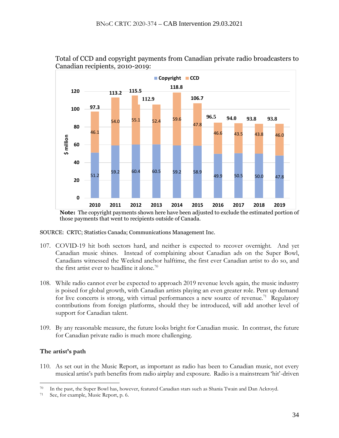

Total of CCD and copyright payments from Canadian private radio broadcasters to Canadian recipients, 2010-2019:

**Note:** The copyright payments shown here have been adjusted to exclude the estimated portion of those payments that went to recipients outside of Canada.

SOURCE: CRTC; Statistics Canada; Communications Management Inc.

- 107. COVID-19 hit both sectors hard, and neither is expected to recover overnight. And yet Canadian music shines. Instead of complaining about Canadian ads on the Super Bowl, Canadians witnessed the Weeknd anchor halftime, the first ever Canadian artist to do so, and the first artist ever to headline it alone.<sup>70</sup>
- 108. While radio cannot ever be expected to approach 2019 revenue levels again, the music industry is poised for global growth, with Canadian artists playing an even greater role. Pent up demand for live concerts is strong, with virtual performances a new source of revenue.<sup>71</sup> Regulatory contributions from foreign platforms, should they be introduced, will add another level of support for Canadian talent.
- 109. By any reasonable measure, the future looks bright for Canadian music. In contrast, the future for Canadian private radio is much more challenging.

## **The artist's path**

110. As set out in the Music Report, as important as radio has been to Canadian music, not every musical artist's path benefits from radio airplay and exposure. Radio is a mainstream 'hit'-driven

<sup>70</sup> In the past, the Super Bowl has, however, featured Canadian stars such as Shania Twain and Dan Ackroyd.

<sup>71</sup> See, for example, Music Report, p. 6.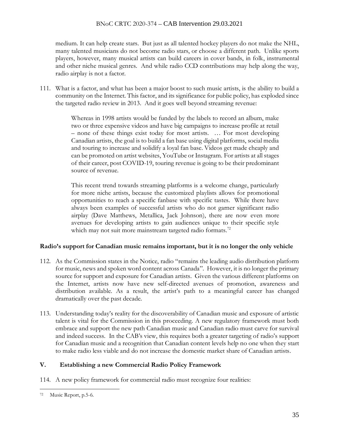### BNoC CRTC 2020-374 – CAB Intervention 29.03.2021

medium. It can help create stars. But just as all talented hockey players do not make the NHL, many talented musicians do not become radio stars, or choose a different path. Unlike sports players, however, many musical artists can build careers in cover bands, in folk, instrumental and other niche musical genres. And while radio CCD contributions may help along the way, radio airplay is not a factor.

111. What is a factor, and what has been a major boost to such music artists, is the ability to build a community on the Internet. This factor, and its significance for public policy, has exploded since the targeted radio review in 2013. And it goes well beyond streaming revenue:

> Whereas in 1998 artists would be funded by the labels to record an album, make two or three expensive videos and have big campaigns to increase profile at retail – none of these things exist today for most artists. … For most developing Canadian artists, the goal is to build a fan base using digital platforms, social media and touring to increase and solidify a loyal fan base. Videos get made cheaply and can be promoted on artist websites, YouTube or Instagram. For artists at all stages of their career, post COVID-19, touring revenue is going to be their predominant source of revenue.

> This recent trend towards streaming platforms is a welcome change, particularly for more niche artists, because the customized playlists allows for promotional opportunities to reach a specific fanbase with specific tastes. While there have always been examples of successful artists who do not garner significant radio airplay (Dave Matthews, Metallica, Jack Johnson), there are now even more avenues for developing artists to gain audiences unique to their specific style which may not suit more mainstream targeted radio formats.<sup>72</sup>

## **Radio's support for Canadian music remains important, but it is no longer the only vehicle**

- 112. As the Commission states in the Notice, radio "remains the leading audio distribution platform for music, news and spoken word content across Canada". However, it is no longer the primary source for support and exposure for Canadian artists. Given the various different platforms on the Internet, artists now have new self-directed avenues of promotion, awareness and distribution available. As a result, the artist's path to a meaningful career has changed dramatically over the past decade.
- 113. Understanding today's reality for the discoverability of Canadian music and exposure of artistic talent is vital for the Commission in this proceeding. A new regulatory framework must both embrace and support the new path Canadian music and Canadian radio must carve for survival and indeed success. In the CAB's view, this requires both a greater targeting of radio's support for Canadian music and a recognition that Canadian content levels help no one when they start to make radio less viable and do not increase the domestic market share of Canadian artists.

## **V. Establishing a new Commercial Radio Policy Framework**

114. A new policy framework for commercial radio must recognize four realities:

<sup>72</sup> Music Report, p.5-6.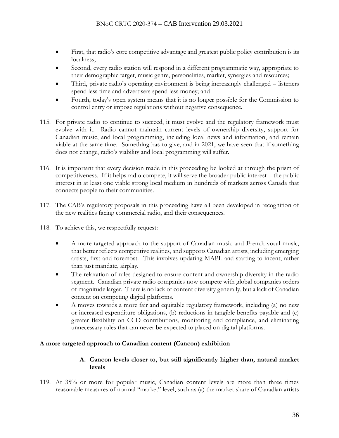- First, that radio's core competitive advantage and greatest public policy contribution is its localness;
- Second, every radio station will respond in a different programmatic way, appropriate to their demographic target, music genre, personalities, market, synergies and resources;
- Third, private radio's operating environment is being increasingly challenged listeners spend less time and advertisers spend less money; and
- Fourth, today's open system means that it is no longer possible for the Commission to control entry or impose regulations without negative consequence.
- 115. For private radio to continue to succeed, it must evolve and the regulatory framework must evolve with it. Radio cannot maintain current levels of ownership diversity, support for Canadian music, and local programming, including local news and information, and remain viable at the same time. Something has to give, and in 2021, we have seen that if something does not change, radio's viability and local programming will suffer.
- 116. It is important that every decision made in this proceeding be looked at through the prism of competitiveness. If it helps radio compete, it will serve the broader public interest – the public interest in at least one viable strong local medium in hundreds of markets across Canada that connects people to their communities.
- 117. The CAB's regulatory proposals in this proceeding have all been developed in recognition of the new realities facing commercial radio, and their consequences.
- 118. To achieve this, we respectfully request:
	- A more targeted approach to the support of Canadian music and French-vocal music, that better reflects competitive realities, and supports Canadian artists, including emerging artists, first and foremost. This involves updating MAPL and starting to incent, rather than just mandate, airplay.
	- The relaxation of rules designed to ensure content and ownership diversity in the radio segment. Canadian private radio companies now compete with global companies orders of magnitude larger. There is no lack of content diversity generally, but a lack of Canadian content on competing digital platforms.
	- A moves towards a more fair and equitable regulatory framework, including (a) no new or increased expenditure obligations, (b) reductions in tangible benefits payable and (c) greater flexibility on CCD contributions, monitoring and compliance, and eliminating unnecessary rules that can never be expected to placed on digital platforms.

## **A more targeted approach to Canadian content (Cancon) exhibition**

### **A. Cancon levels closer to, but still significantly higher than, natural market levels**

119. At 35% or more for popular music, Canadian content levels are more than three times reasonable measures of normal "market" level, such as (a) the market share of Canadian artists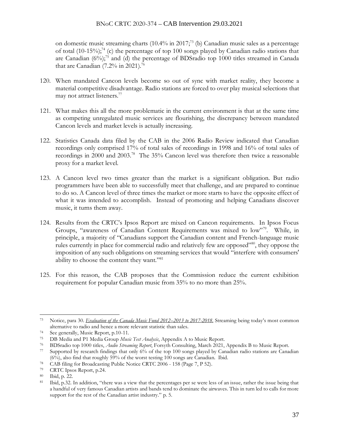#### BNoC CRTC 2020-374 – CAB Intervention 29.03.2021

on domestic music streaming charts (10.4% in 2017; <sup>73</sup> (b) Canadian music sales as a percentage of total (10-15%); <sup>74</sup> (c) the percentage of top 100 songs played by Canadian radio stations that are Canadian (6%); <sup>75</sup> and (d) the percentage of BDSradio top 1000 titles streamed in Canada that are Canadian (7.2% in 2021).<sup>76</sup>

- 120. When mandated Cancon levels become so out of sync with market reality, they become a material competitive disadvantage. Radio stations are forced to over play musical selections that may not attract listeners. 77
- 121. What makes this all the more problematic in the current environment is that at the same time as competing unregulated music services are flourishing, the discrepancy between mandated Cancon levels and market levels is actually increasing.
- 122. Statistics Canada data filed by the CAB in the 2006 Radio Review indicated that Canadian recordings only comprised 17% of total sales of recordings in 1998 and 16% of total sales of recordings in 2000 and 2003.<sup>78</sup> The 35% Cancon level was therefore then twice a reasonable proxy for a market level.
- 123. A Cancon level two times greater than the market is a significant obligation. But radio programmers have been able to successfully meet that challenge, and are prepared to continue to do so. A Cancon level of three times the market or more starts to have the opposite effect of what it was intended to accomplish. Instead of promoting and helping Canadians discover music, it turns them away.
- 124. Results from the CRTC's Ipsos Report are mixed on Cancon requirements. In Ipsos Focus Groups, "awareness of Canadian Content Requirements was mixed to low"<sup>79</sup>. While, in principle, a majority of "Canadians support the Canadian content and French-language music rules currently in place for commercial radio and relatively few are opposed"80, they oppose the imposition of any such obligations on streaming services that would "interfere with consumers' ability to choose the content they want."<sup>81</sup>
- 125. For this reason, the CAB proposes that the Commission reduce the current exhibition requirement for popular Canadian music from 35% to no more than 25%.

<sup>73</sup> Notice, para 30. *[Evaluation of the Canada Music Fund 2012](https://ct-url-protection.portal.checkpoint.com/v1/load/1HOXHcDzC7wrnLLxFVutcCzrC6lxvQ_XhLNDsO_7P9nsGgkaB9ELvGGZWCmftxKeBvb0batHc1LXDxasfW_D9vA7UH-BtLCWi3LLYGUcMWM-XzyvCVB2ymFM2K-sNHZ171HE2cu8zt3QcvEF-wYeIeJiGtMd13VBHeJSbV1itkgwqzIPAJFMOILeQXFSn8T35wODQYC5abEDhYhgJlhHFgRQfSEbvjlWxoG_1fpLL44K1YeU1mhOl-L0zk7kAmJY2sl-3jI8Y6XQ4zNTUfoIG6eaVDdeguQPPeQ-YtyUKjfKQg6OYf-GS28j6OveynQqrDwXXxoAobn3dT-ghtQclsl9LGqQ)–2013 to 2017-2018*. Streaming being today's most common alternative to radio and hence a more relevant statistic than sales.

<sup>74</sup> See generally, Music Report, p.10-11.

<sup>75</sup> DB Media and P1 Media Group *Music Test Analysis*, Appendix A to Music Report.

<sup>76</sup> BDSradio top 1000 titles, *Audio Streaming Report*, Forsyth Consulting, March 2021, Appendix B to Music Report.

<sup>77</sup> Supported by research findings that only 6% of the top 100 songs played by Canadian radio stations are Canadian (6%), also find that roughly 59% of the worst testing 100 songs are Canadian. Ibid.

<sup>78</sup> CAB filing for Broadcasting Public Notice CRTC 2006 - 158 (Page 7, P 52).

<sup>79</sup> CRTC Ipsos Report, p.24.

<sup>80</sup> Ibid, p. 22.

<sup>81</sup> Ibid, p.32. In addition, "there was a view that the percentages per se were less of an issue, rather the issue being that a handful of very famous Canadian artists and bands tend to dominate the airwaves. This in turn led to calls for more support for the rest of the Canadian artist industry." p. 5.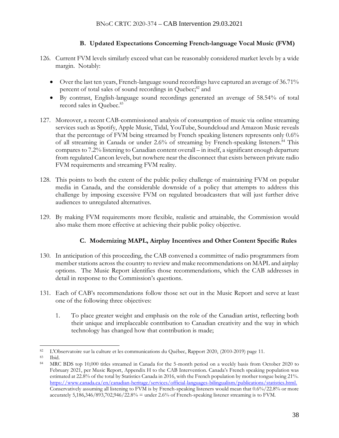# **B. Updated Expectations Concerning French-language Vocal Music (FVM)**

- 126. Current FVM levels similarly exceed what can be reasonably considered market levels by a wide margin. Notably:
	- Over the last ten years, French-language sound recordings have captured an average of 36.71% percent of total sales of sound recordings in Quebec;<sup>82</sup> and
	- By contrast, English-language sound recordings generated an average of 58.54% of total record sales in Ouebec.<sup>83</sup>
- 127. Moreover, a recent CAB-commissioned analysis of consumption of music via online streaming services such as Spotify, Apple Music, Tidal, YouTube, Soundcloud and Amazon Music reveals that the percentage of FVM being streamed by French speaking listeners represents only 0.6% of all streaming in Canada or under 2.6% of streaming by French-speaking listeners. <sup>84</sup> This compares to 7.2% listening to Canadian content overall – in itself, a significant enough departure from regulated Cancon levels, but nowhere near the disconnect that exists between private radio FVM requirements and streaming FVM reality.
- 128. This points to both the extent of the public policy challenge of maintaining FVM on popular media in Canada, and the considerable downside of a policy that attempts to address this challenge by imposing excessive FVM on regulated broadcasters that will just further drive audiences to unregulated alternatives.
- 129. By making FVM requirements more flexible, realistic and attainable, the Commission would also make them more effective at achieving their public policy objective.

## **C. Modernizing MAPL, Airplay Incentives and Other Content Specific Rules**

- 130. In anticipation of this proceeding, the CAB convened a committee of radio programmers from member stations across the country to review and make recommendations on MAPL and airplay options. The Music Report identifies those recommendations, which the CAB addresses in detail in response to the Commission's questions.
- 131. Each of CAB's recommendations follow those set out in the Music Report and serve at least one of the following three objectives:
	- 1. To place greater weight and emphasis on the role of the Canadian artist, reflecting both their unique and irreplaceable contribution to Canadian creativity and the way in which technology has changed how that contribution is made;

<sup>83</sup> Ibid.

<sup>82</sup> L'Observatoire sur la culture et les communications du Québec, Rapport 2020, (2010-2019) page 11.

<sup>84</sup> MRC BDS top 10,000 titles streamed in Canada for the 5-month period on a weekly basis from October 2020 to February 2021, per Music Report, Appendix H to the CAB Intervention. Canada's French speaking population was estimated at 22.8% of the total by Statistics Canada in 2016, with the French population by mother tongue being 21%. [https://www.canada.ca/en/canadian-heritage/services/official-languages-bilingualism/publications/statistics.html.](https://ct-url-protection.portal.checkpoint.com/v1/load/o8vS1gAb083luj-NM-FL4im_m38zcIsHFtm1Exw9fQ_n5IRkA5mP-obZRuNrAuSUWrncb1Xe49Oil8wcjodKit-QYzMa7RWc8yWJd4bv_FFiNmVi72PdE-c48pRSB0tkAHR0khpgAOM6ojFF-dxZNEU5uP8JJpLL9-b28-or4KBO_Y0tgh2HaU6ob_auzH-qqTJAgYdpTo6Q_obP4q_HZE1YMUBCku5a5YDdXE0eEhYkN85go2S-h7Lxm5tBKctkZE6Y46p_FoCs3_R3gQNwbS4kB6di-t9jNWnQqPYT5tenYgXSkLlrKnwOz3U23wZJ) Conservatively assuming all listening to FVM is by French-speaking listeners would mean that 0.6%/22.8% or more accurately 5,186,346/893,702,946/22.8% = under 2.6% of French-speaking listener streaming is to FVM.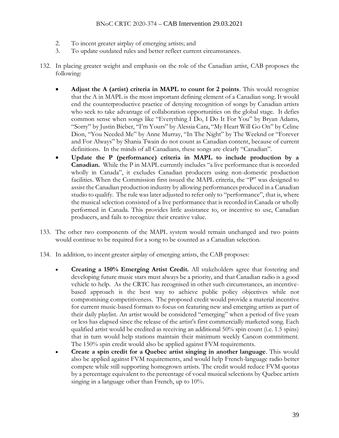- 2. To incent greater airplay of emerging artists; and
- 3. To update outdated rules and better reflect current circumstances.
- 132. In placing greater weight and emphasis on the role of the Canadian artist, CAB proposes the following:
	- **Adjust the A (artist) criteria in MAPL to count for 2 points**. This would recognize that the A in MAPL is the most important defining element of a Canadian song. It would end the counterproductive practice of denying recognition of songs by Canadian artists who seek to take advantage of collaboration opportunities on the global stage. It defies common sense when songs like "Everything I Do, I Do It For You" by Bryan Adams, "Sorry" by Justin Bieber, "I'm Yours" by Alessia Cara, "My Heart Will Go On" by Celine Dion, "You Needed Me" by Anne Murray, "In The Night" by The Weeknd or "Forever and For Always" by Shania Twain do not count as Canadian content, because of current definitions. In the minds of all Canadians, these songs are clearly "Canadian".
	- **Update the P (performance) criteria in MAPL to include production by a Canadian.** While the P in MAPL currently includes "a live performance that is recorded wholly in Canada", it excludes Canadian producers using non-domestic production facilities. When the Commission first issued the MAPL criteria, the "P" was designed to assist the Canadian production industry by allowing performances produced in a Canadian studio to qualify. The rule was later adjusted to refer only to "performance", that is, where the musical selection consisted of a live performance that is recorded in Canada or wholly performed in Canada. This provides little assistance to, or incentive to use, Canadian producers, and fails to recognize their creative value.
- 133. The other two components of the MAPL system would remain unchanged and two points would continue to be required for a song to be counted as a Canadian selection.
- 134. In addition, to incent greater airplay of emerging artists, the CAB proposes:
	- **Creating a 150% Emerging Artist Credit.** All stakeholders agree that fostering and developing future music stars must always be a priority, and that Canadian radio is a good vehicle to help. As the CRTC has recognised in other such circumstances, an incentivebased approach is the best way to achieve public policy objectives while not compromising competitiveness. The proposed credit would provide a material incentive for current music-based formats to focus on featuring new and emerging artists as part of their daily playlist. An artist would be considered "emerging" when a period of five years or less has elapsed since the release of the artist's first commercially marketed song. Each qualified artist would be credited as receiving an additional 50% spin count (i.e. 1.5 spins) that in turn would help stations maintain their minimum weekly Cancon commitment. The 150% spin credit would also be applied against FVM requirements.
	- **Create a spin credit for a Quebec artist singing in another language**. This would also be applied against FVM requirements, and would help French-language radio better compete while still supporting homegrown artists. The credit would reduce FVM quotas by a percentage equivalent to the percentage of vocal musical selections by Quebec artists singing in a language other than French, up to 10%.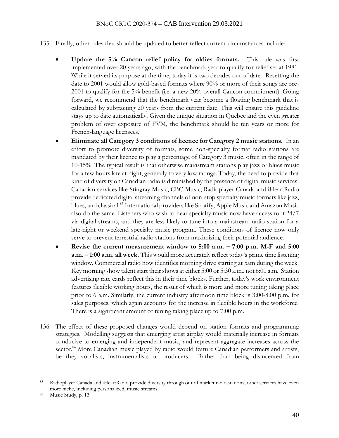- 135. Finally, other rules that should be updated to better reflect current circumstances include:
	- **Update the 5% Cancon relief policy for oldies formats.** This rule was first implemented over 20 years ago, with the benchmark year to qualify for relief set at 1981. While it served its purpose at the time, today it is two decades out of date. Resetting the date to 2001 would allow gold-based formats where 90% or more of their songs are pre-2001 to qualify for the 5% benefit (i.e. a new 20% overall Cancon commitment). Going forward, we recommend that the benchmark year become a floating benchmark that is calculated by subtracting 20 years from the current date. This will ensure this guideline stays up to date automatically. Given the unique situation in Quebec and the even greater problem of over exposure of FVM, the benchmark should be ten years or more for French-language licensees.
	- **Eliminate all Category 3 conditions of licence for Category 2 music stations.** In an effort to promote diversity of formats, some non-specialty format radio stations are mandated by their licence to play a percentage of Category 3 music, often in the range of 10-15%. The typical result is that otherwise mainstream stations play jazz or blues music for a few hours late at night, generally to very low ratings. Today, the need to provide that kind of diversity on Canadian radio is diminished by the presence of digital music services. Canadian services like Stingray Music, CBC Music, Radioplayer Canada and iHeartRadio provide dedicated digital streaming channels of non-stop specialty music formats like jazz, blues, and classical.<sup>85</sup> International providers like Spotify, Apple Music and Amazon Music also do the same. Listeners who wish to hear specialty music now have access to it 24/7 via digital streams, and they are less likely to tune into a mainstream radio station for a late-night or weekend specialty music program. These conditions of licence now only serve to prevent terrestrial radio stations from maximizing their potential audience.
	- **Revise the current measurement window to 5:00 a.m. – 7:00 p.m. M-F and 5:00 a.m. – 1:00 a.m. all week.** This would more accurately reflect today's prime time listening window. Commercial radio now identifies morning drive starting at 5am during the week. Key morning show talent start their shows at either 5:00 or 5:30 a.m., not 6:00 a.m. Station advertising rate cards reflect this in their time blocks. Further, today's work environment features flexible working hours, the result of which is more and more tuning taking place prior to 6 a.m. Similarly, the current industry afternoon time block is 3:00-8:00 p.m. for sales purposes, which again accounts for the increase in flexible hours in the workforce. There is a significant amount of tuning taking place up to 7:00 p.m.
- 136. The effect of these proposed changes would depend on station formats and programming strategies. Modelling suggests that emerging artist airplay would materially increase in formats conducive to emerging and independent music, and represent aggregate increases across the sector.<sup>86</sup> More Canadian music played by radio would feature Canadian performers and artists, be they vocalists, instrumentalists or producers. Rather than being disincented from

<sup>85</sup> Radioplayer Canada and iHeartRadio provide diversity through out of market radio stations; other services have even more niche, including personalized, music streams.

Music Study, p. 13.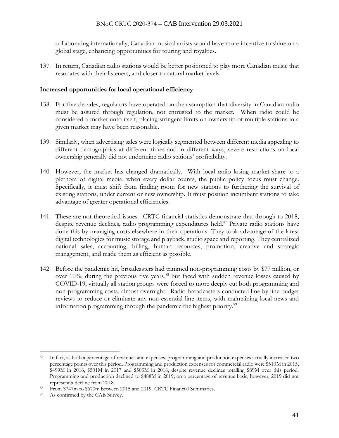collaborating internationally, Canadian musical artists would have more incentive to shine on a global stage, enhancing opportunities for touring and royalties.

137. In return, Canadian radio stations would be better positioned to play more Canadian music that resonates with their listeners, and closer to natural market levels.

### **Increased opportunities for local operational efficiency**

- 138. For five decades, regulators have operated on the assumption that diversity in Canadian radio must be assured through regulation, not entrusted to the market. When radio could be considered a market unto itself, placing stringent limits on ownership of multiple stations in a given market may have been reasonable.
- 139. Similarly, when advertising sales were logically segmented between different media appealing to different demographics at different times and in different ways, severe restrictions on local ownership generally did not undermine radio stations' profitability.
- 140. However, the market has changed dramatically. With local radio losing market share to a plethora of digital media, when every dollar counts, the public policy focus must change. Specifically, it must shift from finding room for new stations to furthering the survival of existing stations, under current or new ownership. It must position incumbent stations to take advantage of greater operational efficiencies.
- 141. These are not theoretical issues. CRTC financial statistics demonstrate that through to 2018, despite revenue declines, radio programming expenditures held.<sup>87</sup> Private radio stations have done this by managing costs elsewhere in their operations. They took advantage of the latest digital technologies for music storage and playback, studio space and reporting. They centralized national sales, accounting, billing, human resources, promotion, creative and strategic management, and made them as efficient as possible.
- 142. Before the pandemic hit, broadcasters had trimmed non-programming costs by \$77 million, or over 10%, during the previous five years, <sup>88</sup> but faced with sudden revenue losses caused by COVID-19, virtually all station groups were forced to more deeply cut both programming and non-programming costs, almost overnight. Radio broadcasters conducted line by line budget reviews to reduce or eliminate any non-essential line items, with maintaining local news and information programming through the pandemic the highest priority.<sup>89</sup>

<sup>87</sup> In fact, as both a percentage of revenues and expenses, programming and production expenses actually increased two percentage points over this period. Programming and production expenses for commercial radio were \$510M in 2015, \$499M in 2016, \$501M in 2017 and \$503M in 2018, despite revenue declines totalling \$89M over this period. Programming and production declined to \$488M in 2019; on a percentage of revenue basis, however, 2019 did not represent a decline from 2018.

<sup>88</sup> From \$747m to \$670m between 2015 and 2019. CRTC Financial Summaries.

<sup>89</sup> As confirmed by the CAB Survey.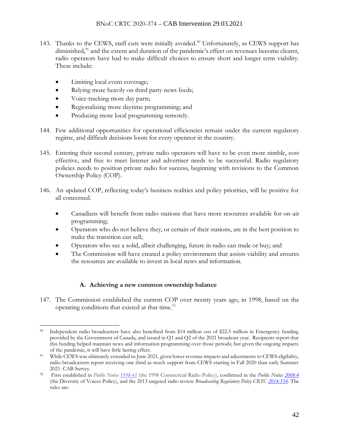- 143. Thanks to the CEWS, staff cuts were initially avoided.<sup>90</sup> Unfortunately, as CEWS support has diminished,<sup>91</sup> and the extent and duration of the pandemic's effect on revenues become clearer, radio operators have had to make difficult choices to ensure short and longer term viability. These include:
	- Limiting local event coverage;
	- Relying more heavily on third party news feeds;
	- Voice-tracking more day parts;
	- Regionalizing more daytime programming; and
	- Producing more local programming remotely.
- 144. Few additional opportunities for operational efficiencies remain under the current regulatory regime, and difficult decisions loom for every operator in the country.
- 145. Entering their second century, private radio operators will have to be even more nimble, cost effective, and free to meet listener and advertiser needs to be successful. Radio regulatory policies needs to position private radio for success, beginning with revisions to the Common Ownership Policy (COP).
- 146. An updated COP, reflecting today's business realities and policy priorities, will be positive for all concerned.
	- Canadians will benefit from radio stations that have more resources available for on-air programming;
	- Operators who do not believe they, or certain of their stations, are in the best position to make the transition can sell;
	- Operators who see a solid, albeit challenging, future in radio can trade or buy; and
	- The Commission will have created a policy environment that assists viability and ensures the resources are available to invest in local news and information.

## **A. Achieving a new common ownership balance**

147. The Commission established the current COP over twenty years ago, in 1998, based on the operating conditions that existed at that time.<sup>92</sup>

<sup>90</sup> Independent radio broadcasters have also benefited from \$14 million out of \$22.5 million in Emergency funding provided by the Government of Canada, and issued in Q1 and Q2 of the 2021 broadcast year. Recipients report that this funding helped maintain news and information programming over those periods; but given the ongoing impacts of the pandemic, it will have little lasting effect.

<sup>91</sup> While CEWS was ultimately extended to June 2021, given lower revenue impacts and adjustments to CEWS eligibility, radio broadcasters report receiving one third as much support from CEWS starting in Fall 2020 than early Summer 2021. CAB Survey.

<sup>92</sup> First established in *Public Notice [1998-41](https://ct-url-protection.portal.checkpoint.com/v1/load/q5dbmuTPruXXv5BuBPbR7I2At7niBC733ba47Nj8vHWcHPHp3Oqw9R9ztk2Qna9xPo_kbOemJpTyLat8Hp5jHS0m2FjykM-NAabWw9-miN9lNMxZ4wSOL3VVImA87nljZmFjqvyfDQ61lhRY6QYQsj7PvSUIgHEj8183Ntkao0YWzkHKFBGqXxDtktby-MIJiCf6l5i_grQnB0LqDcQ7Akxro3hlYJ69YAaZEA0C4g)* (the 1998 Commercial Radio Policy), confirmed in the *Public Notice [2008-4](https://ct-url-protection.portal.checkpoint.com/v1/load/MNoAEuen3XmoWrWZT_ybsdCq34JZyAbgBNGc1vi8vqSla1dzHDGrMQM_jwudS7I7AEtMRiv_icIw10ewC3xbgMp266LtY3U9JyUy3EvN7CVmiH8gtfbvFfLUtV0NqjF4uSU7IlHod44205v5fL_oWoRpi8s1trLn3dCcDxKQQ3W_HznlgMAAlHFFE5ED8My9U4uQtww56NUCmlITMbctXr9OXbeQDOMq8-jAECG8h0c)* (the Diversity of Voices Policy), and the 2013 targeted radio review *Broadcasting Regulatory Policy CRTC [2014-554](https://ct-url-protection.portal.checkpoint.com/v1/load/tUnDeMw1YtocpA_gWuGZW2_L7XL50g3VG-dfrlDKsxg8Cm_7WdNWpzVtvb2Ty5AU4DD_cJiDtGdbvUClgBGGbYRIurpj0b1WNfq37a--W55ozdO7vK5hq80pdGJfzAUvURq3T9Fm88CXP9lxE1wX7mvZ8MuUMgig0y0WdP1GpLT1LExVkN44gZI3ZNHybYBsK2CSE3oxF4nFNRS7wcWl6Yhh3fZ9ku6LA4K65e9ZdBM)*. The rules are: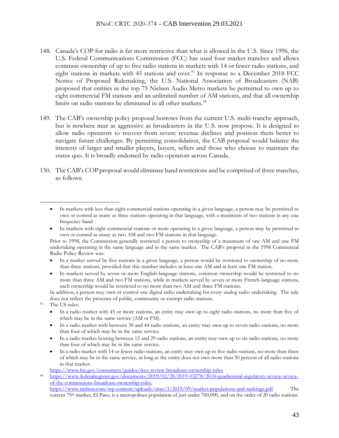- 148. Canada's COP for radio is far more restrictive than what is allowed in the U.S. Since 1996, the U.S. Federal Communications Commission (FCC) has used four market tranches and allows common ownership of up to five radio stations in markets with 14 or fewer radio stations, and eight stations in markets with 45 stations and over.<sup>93</sup> In response to a December 2018 FCC Notice of Proposed Rulemaking, the U.S. National Association of Broadcasters (NAB) proposed that entities in the top 75 Nielsen Audio Metro markets be permitted to own up to eight commercial FM stations and an unlimited number of AM stations, and that all ownership limits on radio stations be eliminated in all other markets.<sup>94</sup>
- 149. The CAB's ownership policy proposal borrows from the current U.S. multi-tranche approach, but is nowhere near as aggressive as broadcasters in the U.S. now propose. It is designed to allow radio operators to recover from severe revenue declines and position them better to navigate future challenges. By permitting consolidation, the CAB proposal would balance the interests of larger and smaller players, buyers, sellers and those who choose to maintain the status quo. It is broadly endorsed by radio operators across Canada.
- 150. The CAB's COP proposal would eliminate band restrictions and be comprised of three tranches, as follows:

Prior to 1998, the Commission generally restricted a person to ownership of a maximum of one AM and one FM undertaking operating in the same language and in the same market. The CAB's proposal in the 1998 Commercial Radio Policy Review was:

- In a market served by five stations in a given language, a person would be restricted to ownership of no more than three stations, provided that this number includes at least one AM and at least one FM station.
- In markets served by seven or more English-language stations, common ownership would be restricted to no more than three AM and two FM stations, while in markets served by seven or more French-language stations, such ownership would be restricted to no more than two AM and three FM stations.

In addition, a person may own or control one digital radio undertaking for every analog radio undertaking. The rule does not reflect the presence of public, community or exempt radio stations.

- <sup>93</sup> The US rules:
	- In a radio market with 45 or more stations, an entity may own up to eight radio stations, no more than five of which may be in the same service (AM or FM).
	- In a radio market with between 30 and 44 radio stations, an entity may own up to seven radio stations, no more than four of which may be in the same service.
	- In a radio market hosting between 15 and 29 radio stations, an entity may own up to six radio stations, no more than four of which may be in the same service.
	- In a radio market with 14 or fewer radio stations, an entity may own up to five radio stations, no more than three of which may be in the same service, as long as the entity does not own more than 50 percent of all radio stations in that market.

[https://www.fcc.gov/consumers/guides/fccs-review-broadcast-ownership-rules](https://ct-url-protection.portal.checkpoint.com/v1/load/aGWT3EMWl_8Whd_sOmYj9v9vtDNCEMcVi5pOWYyWYIBuna_sdsAcaY0oy9OFrVoTilHh6MJ3CYdR8PLLgPgBBbfgHxEReFgUkUyBvBKfM3McH3CsVowaRLblCVSUsamjAJUshY8bVMfAlnmfEWacw-CLBEjIYu7wMZv3bAmqphWHvoUR1tShN8QWMsDT20NoSOPWBA0XSecrH9qigDn3qzqz41CjEV2Qw9ZTRSjUe2VCIomiQWtfy-aL_dh-NJLKIExasOqHiccPzA)

current 75th market, El Paso, is a metropolitan population of just under 700,000, and on the order of 20 radio stations.

<sup>•</sup> In markets with less than eight commercial stations operating in a given language, a person may be permitted to own or control as many as three stations operating in that language, with a maximum of two stations in any one frequency band

<sup>•</sup> In markets with eight commercial stations or more operating in a given language, a person may be permitted to own or control as many as two AM and two FM stations in that language.

<sup>94</sup> [https://www.federalregister.gov/documents/2019/02/28/2019-03278/2018-quadrennial-regulatory-review-review](https://ct-url-protection.portal.checkpoint.com/v1/load/HAppNa1RnZLUq1vHFyqdJbuFruewqNQbk22TSp-zuKc_h0_G_riaFjeo0OYrdS_v8kPI7qgcXtCz8jy_RwgsdVVVJ_deKk4wiczzjxtLZsd02usFg4RJGeBWmZDpiog7GFcyP0BQsgZeVMYa8FX3_Ss7uR7IscEYU7WMnOB7v1l2sR6EF3CYio9Lmt_aarW2H0B6hTLc5fHC59c99_qrObZF4y_2uBD5Jh7yLCAIjPmqt0MYyX_FgC_SEVbShV_NJNBuhaB5CwKsQaXL5fSHekYJAkhUGmL2Sx8lS06h3Z5AuPoe6RVx1hWR1SnHLauPtQUxkOeqOagIpvUytr-_mpWVnf4f-1dasIHUgCuRQZNl4NuLE5Q)[of-the-commissions-broadcast-ownership-rules.](https://ct-url-protection.portal.checkpoint.com/v1/load/HAppNa1RnZLUq1vHFyqdJbuFruewqNQbk22TSp-zuKc_h0_G_riaFjeo0OYrdS_v8kPI7qgcXtCz8jy_RwgsdVVVJ_deKk4wiczzjxtLZsd02usFg4RJGeBWmZDpiog7GFcyP0BQsgZeVMYa8FX3_Ss7uR7IscEYU7WMnOB7v1l2sR6EF3CYio9Lmt_aarW2H0B6hTLc5fHC59c99_qrObZF4y_2uBD5Jh7yLCAIjPmqt0MYyX_FgC_SEVbShV_NJNBuhaB5CwKsQaXL5fSHekYJAkhUGmL2Sx8lS06h3Z5AuPoe6RVx1hWR1SnHLauPtQUxkOeqOagIpvUytr-_mpWVnf4f-1dasIHUgCuRQZNl4NuLE5Q) [https://www.nielsen.com/wp-content/uploads/sites/3/2019/09/market-populations-and-rankings.pdf](https://ct-url-protection.portal.checkpoint.com/v1/load/q4ob2R1piMQblZA0QQ0IgLgQj0BoTulDEwyNvB66UuzyWBD8tfHI4I9PAcQdCsGrymz4JA6FiKgpa_t3hovC56ulxjo8vV5IEH1gFEgaiElGV2zI_BmaqMmgIr_LK199qhXpvu5pS_f2PzD7X2WWCEoTS_nOxvMCuM0aKQQsM0tVlV-vfssKqJx31hauUj5fCE6Lhrjc8BIUJykxaHf5MhVDtz4z3NegVG4JsxtE577kJYqoVFuD2AUfbA0HcCs9fT-SPG_ntZF8ren7yY5WSuj-XacjXnfvM4GESpoU) The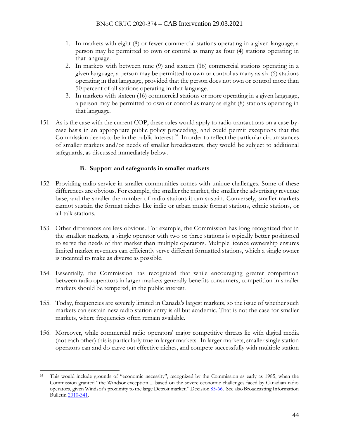- 1. In markets with eight (8) or fewer commercial stations operating in a given language, a person may be permitted to own or control as many as four (4) stations operating in that language.
- 2. In markets with between nine (9) and sixteen (16) commercial stations operating in a given language, a person may be permitted to own or control as many as six (6) stations operating in that language, provided that the person does not own or control more than 50 percent of all stations operating in that language.
- 3. In markets with sixteen (16) commercial stations or more operating in a given language, a person may be permitted to own or control as many as eight (8) stations operating in that language.
- 151. As is the case with the current COP, these rules would apply to radio transactions on a case-bycase basis in an appropriate public policy proceeding, and could permit exceptions that the Commission deems to be in the public interest.<sup>95</sup> In order to reflect the particular circumstances of smaller markets and/or needs of smaller broadcasters, they would be subject to additional safeguards, as discussed immediately below.

## **B. Support and safeguards in smaller markets**

- 152. Providing radio service in smaller communities comes with unique challenges. Some of these differences are obvious. For example, the smaller the market, the smaller the advertising revenue base, and the smaller the number of radio stations it can sustain. Conversely, smaller markets cannot sustain the format niches like indie or urban music format stations, ethnic stations, or all-talk stations.
- 153. Other differences are less obvious. For example, the Commission has long recognized that in the smallest markets, a single operator with two or three stations is typically better positioned to serve the needs of that market than multiple operators. Multiple licence ownership ensures limited market revenues can efficiently serve different formatted stations, which a single owner is incented to make as diverse as possible.
- 154. Essentially, the Commission has recognized that while encouraging greater competition between radio operators in larger markets generally benefits consumers, competition in smaller markets should be tempered, in the public interest.
- 155. Today, frequencies are severely limited in Canada's largest markets, so the issue of whether such markets can sustain new radio station entry is all but academic. That is not the case for smaller markets, where frequencies often remain available.
- 156. Moreover, while commercial radio operators' major competitive threats lie with digital media (not each other) this is particularly true in larger markets. In larger markets, smaller single station operators can and do carve out effective niches, and compete successfully with multiple station

<sup>95</sup> This would include grounds of "economic necessity", recognized by the Commission as early as 1985, when the Commission granted "the Windsor exception ... based on the severe economic challenges faced by Canadian radio operators, given Windsor's proximity to the large Detroit market." Decisio[n 85-66.](https://ct-url-protection.portal.checkpoint.com/v1/load/wPfcPAtndfXsMQy6xOmH-cAZhflifRQFNzgKy5lTe4RW_TFsZl3GYn8H5PB5tEgQxSiKDuKlG3EOcAITfDX1YMyqxAbZr9RQi2wubOHU0a1q3ukpvjoN7V8o7vEWItHsZRWMnXv9yrOtWkEoVEwTXtfZfmqNUhKIs4RAblS_TBB-CSD47vbwYa0oA_0FKjcUoEh0i7DoU_Ssy7lIDKItJuD2jzcHyfwugfVqtXM4Qg) See also Broadcasting Information Bulleti[n 2010-341.](https://ct-url-protection.portal.checkpoint.com/v1/load/IWhvm7t9DXkkoJ8nGDOXgFXenLivRQHh5sjGpGmQ-O_LgYdc7oQmnibEwHHbLOegvM3QRFeHqrYoqzmpcAnlazNLElmHTV64-LtSNJCmDs3d5IKuEgWH3j-pQxxMI0zZCyBklN8-9-wMzonWOI_X_wsNNXyLBTakrDgmD9oWE6KDzPGz1xpgUyOdd7lfii137ML-E2ScSMJvwCkIYKJVcnBdVSzrKuKuTl2kfCc-U3I)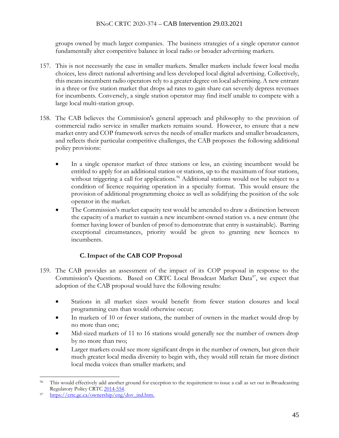groups owned by much larger companies. The business strategies of a single operator cannot fundamentally alter competitive balance in local radio or broader advertising markets.

- 157. This is not necessarily the case in smaller markets. Smaller markets include fewer local media choices, less direct national advertising and less developed local digital advertising. Collectively, this means incumbent radio operators rely to a greater degree on local advertising. A new entrant in a three or five station market that drops ad rates to gain share can severely depress revenues for incumbents. Conversely, a single station operator may find itself unable to compete with a large local multi-station group.
- 158. The CAB believes the Commission's general approach and philosophy to the provision of commercial radio service in smaller markets remains sound. However, to ensure that a new market entry and COP framework serves the needs of smaller markets and smaller broadcasters, and reflects their particular competitive challenges, the CAB proposes the following additional policy provisions:
	- In a single operator market of three stations or less, an existing incumbent would be entitled to apply for an additional station or stations, up to the maximum of four stations, without triggering a call for applications.<sup>96</sup> Additional stations would not be subject to a condition of licence requiring operation in a specialty format. This would ensure the provision of additional programming choice as well as solidifying the position of the sole operator in the market.
	- The Commission's market capacity test would be amended to draw a distinction between the capacity of a market to sustain a new incumbent-owned station vs. a new entrant (the former having lower of burden of proof to demonstrate that entry is sustainable). Barring exceptional circumstances, priority would be given to granting new licences to incumbents.

# **C.Impact of the CAB COP Proposal**

- 159. The CAB provides an assessment of the impact of its COP proposal in response to the Commission's Questions. Based on CRTC Local Broadcast Market Data<sup>97</sup>, we expect that adoption of the CAB proposal would have the following results:
	- Stations in all market sizes would benefit from fewer station closures and local programming cuts than would otherwise occur;
	- In markets of 10 or fewer stations, the number of owners in the market would drop by no more than one;
	- Mid-sized markets of 11 to 16 stations would generally see the number of owners drop by no more than two;
	- Larger markets could see more significant drops in the number of owners, but given their much greater local media diversity to begin with, they would still retain far more distinct local media voices than smaller markets; and

<sup>96</sup> This would effectively add another ground for exception to the requirement to issue a call as set out in Broadcasting Regulatory Policy CRTC [2014-554.](https://ct-url-protection.portal.checkpoint.com/v1/load/n1zFzaBjgBkiX_qcT2y_OKvWM00OhXOnV_EqqoycgztX2R5gESkMdo3gM6ocvGxm_InKcOjegAVo2hztuVibrOE4Pvp2Vewm9JsPc8sJ2dGeNeb_Uz5xTNOfnSycSSjakX37RoL8BkWOgUDdk4ig3wbbv0IFZJCAE6MqkeFAHvQv6sDTaqhMNsyzF7WtUYMwoPp7bKrHq-_gLeprUcvV-63UFdkQ01wCPJdLW0oRed0)

[https://crtc.gc.ca/ownership/eng/dov\\_ind.htm.](https://ct-url-protection.portal.checkpoint.com/v1/load/9Bj5H8p3LVeMRSjT_KjUGGUXyG5egSn5uYpcbEv9J7gC3voYMfmy7ndwdMOm5XqhkPWGCKasbX52xhmDf14wp9WrxMjug13jf31qgVcgg-LZLDDo9vA_dPgY9y6CNfNe5qCb2TpelDJYUJUEwJ37_ctLnLxbY7WrVvqRl5dAcXZ58pGdCofz4S_8zSSnGe1Bq92qHDj1groJNXHM5H4W39nqUWAwWyeFS3rZZQ)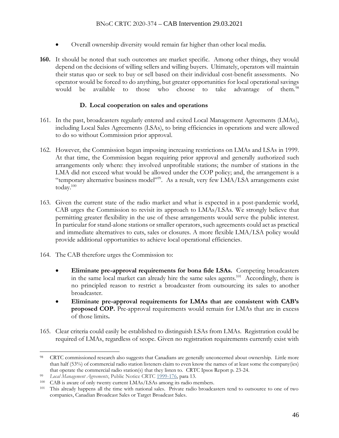- Overall ownership diversity would remain far higher than other local media.
- **160.** It should be noted that such outcomes are market specific. Among other things, they would depend on the decisions of willing sellers and willing buyers. Ultimately, operators will maintain their status quo or seek to buy or sell based on their individual cost-benefit assessments. No operator would be forced to do anything, but greater opportunities for local operational savings would be available to those who choose to take advantage of them.<sup>98</sup>

### **D. Local cooperation on sales and operations**

- 161. In the past, broadcasters regularly entered and exited Local Management Agreements (LMAs), including Local Sales Agreements (LSAs), to bring efficiencies in operations and were allowed to do so without Commission prior approval.
- 162. However, the Commission began imposing increasing restrictions on LMAs and LSAs in 1999. At that time, the Commission began requiring prior approval and generally authorized such arrangements only where: they involved unprofitable stations; the number of stations in the LMA did not exceed what would be allowed under the COP policy; and, the arrangement is a "temporary alternative business model"<sup>99</sup>. As a result, very few LMA/LSA arrangements exist today. 100
- 163. Given the current state of the radio market and what is expected in a post-pandemic world, CAB urges the Commission to revisit its approach to LMAs/LSAs. We strongly believe that permitting greater flexibility in the use of these arrangements would serve the public interest. In particular for stand-alone stations or smaller operators, such agreements could act as practical and immediate alternatives to cuts, sales or closures. A more flexible LMA/LSA policy would provide additional opportunities to achieve local operational efficiencies.
- 164. The CAB therefore urges the Commission to:
	- **Eliminate pre-approval requirements for bona fide LSAs.** Competing broadcasters in the same local market can already hire the same sales agents.<sup>101</sup> Accordingly, there is no principled reason to restrict a broadcaster from outsourcing its sales to another broadcaster.
	- **Eliminate pre-approval requirements for LMAs that are consistent with CAB's proposed COP.** Pre-approval requirements would remain for LMAs that are in excess of those limits**.**
- 165. Clear criteria could easily be established to distinguish LSAs from LMAs. Registration could be required of LMAs, regardless of scope. Given no registration requirements currently exist with

<sup>98</sup> CRTC commissioned research also suggests that Canadians are generally unconcerned about ownership. Little more than half (53%) of commercial radio station listeners claim to even know the names of at least some the company(ies) that operate the commercial radio station(s) that they listen to. CRTC Ipsos Report p. 23-24.

<sup>99</sup> *Local Management Agreements*, Public Notice CRTC [1999-176,](https://crtc.gc.ca/eng/archive/1999/PB99-176.htm) para 13.

<sup>&</sup>lt;sup>100</sup> CAB is aware of only twenty current LMAs/LSAs among its radio members.

This already happens all the time with national sales. Private radio broadcasters tend to outsource to one of two companies, Canadian Broadcast Sales or Target Broadcast Sales.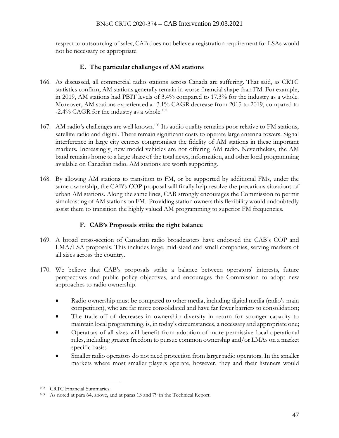respect to outsourcing of sales, CAB does not believe a registration requirement for LSAs would not be necessary or appropriate.

## **E. The particular challenges of AM stations**

- 166. As discussed, all commercial radio stations across Canada are suffering. That said, as CRTC statistics confirm, AM stations generally remain in worse financial shape than FM. For example, in 2019, AM stations had PBIT levels of 3.4% compared to 17.3% for the industry as a whole. Moreover, AM stations experienced a -3.1% CAGR decrease from 2015 to 2019, compared to  $-2.4\%$  CAGR for the industry as a whole.<sup>102</sup>
- 167. AM radio's challenges are well known.<sup>103</sup> Its audio quality remains poor relative to FM stations, satellite radio and digital. There remain significant costs to operate large antenna towers. Signal interference in large city centres compromises the fidelity of AM stations in these important markets. Increasingly, new model vehicles are not offering AM radio. Nevertheless, the AM band remains home to a large share of the total news, information, and other local programming available on Canadian radio. AM stations are worth supporting.
- 168. By allowing AM stations to transition to FM, or be supported by additional FMs, under the same ownership, the CAB's COP proposal will finally help resolve the precarious situations of urban AM stations. Along the same lines, CAB strongly encourages the Commission to permit simulcasting of AM stations on FM. Providing station owners this flexibility would undoubtedly assist them to transition the highly valued AM programming to superior FM frequencies.

## **F. CAB's Proposals strike the right balance**

- 169. A broad cross-section of Canadian radio broadcasters have endorsed the CAB's COP and LMA/LSA proposals. This includes large, mid-sized and small companies, serving markets of all sizes across the country.
- 170. We believe that CAB's proposals strike a balance between operators' interests, future perspectives and public policy objectives, and encourages the Commission to adopt new approaches to radio ownership.
	- Radio ownership must be compared to other media, including digital media (radio's main competition), who are far more consolidated and have far fewer barriers to consolidation;
	- The trade-off of decreases in ownership diversity in return for stronger capacity to maintain local programming, is, in today's circumstances, a necessary and appropriate one;
	- Operators of all sizes will benefit from adoption of more permissive local operational rules, including greater freedom to pursue common ownership and/or LMAs on a market specific basis;
	- Smaller radio operators do not need protection from larger radio operators. In the smaller markets where most smaller players operate, however, they and their listeners would

<sup>102</sup> CRTC Financial Summaries.

<sup>103</sup> As noted at para 64, above, and at paras 13 and 79 in the Technical Report.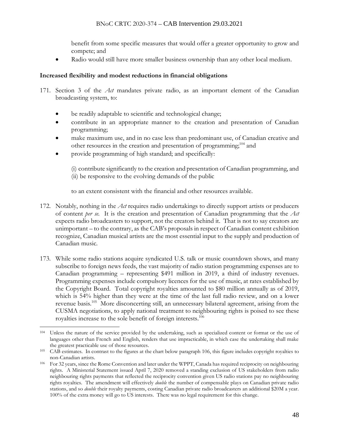benefit from some specific measures that would offer a greater opportunity to grow and compete; and

Radio would still have more smaller business ownership than any other local medium.

### **Increased flexibility and modest reductions in financial obligations**

- 171. Section 3 of the *Act* mandates private radio, as an important element of the Canadian broadcasting system, to:
	- be readily adaptable to scientific and technological change;
	- contribute in an appropriate manner to the creation and presentation of Canadian programming;
	- make maximum use, and in no case less than predominant use, of Canadian creative and other resources in the creation and presentation of programming; <sup>104</sup> and
	- provide programming of high standard; and specifically:

(i) contribute significantly to the creation and presentation of Canadian programming, and (ii) be responsive to the evolving demands of the public

to an extent consistent with the financial and other resources available.

- 172. Notably, nothing in the *Act* requires radio undertakings to directly support artists or producers of content *per se*. It is the creation and presentation of Canadian programming that the *Act* expects radio broadcasters to support, not the creators behind it. That is not to say creators are unimportant – to the contrary, as the CAB's proposals in respect of Canadian content exhibition recognize, Canadian musical artists are the most essential input to the supply and production of Canadian music.
- 173. While some radio stations acquire syndicated U.S. talk or music countdown shows, and many subscribe to foreign news feeds, the vast majority of radio station programming expenses are to Canadian programming – representing \$491 million in 2019, a third of industry revenues. Programming expenses include compulsory licences for the use of music, at rates established by the Copyright Board. Total copyright royalties amounted to \$80 million annually as of 2019, which is 54% higher than they were at the time of the last full radio review, and on a lower revenue basis.<sup>105</sup> More disconcerting still, an unnecessary bilateral agreement, arising from the CUSMA negotiations, to apply national treatment to neighbouring rights is poised to see these royalties increase to the sole benefit of foreign interests. 106

<sup>104</sup> Unless the nature of the service provided by the undertaking, such as specialized content or format or the use of languages other than French and English, renders that use impracticable, in which case the undertaking shall make the greatest practicable use of those resources.

<sup>105</sup> CAB estimates. In contrast to the figures at the chart below paragraph 106, this figure includes copyright royalties to non-Canadian artists.

<sup>106</sup> For 32 years, since the Rome Convention and later under the WPPT, Canada has required reciprocity on neighbouring rights. A Ministerial Statement issued April 7, 2020 removed a standing exclusion of US stakeholders from radio neighbouring rights payments that reflected the reciprocity convention given US radio stations pay no neighbouring rights royalties. The amendment will effectively *double* the number of compensable plays on Canadian private radio stations, and so *double* their royalty payments, costing Canadian private radio broadcasters an additional \$20M a year. 100% of the extra money will go to US interests. There was no legal requirement for this change.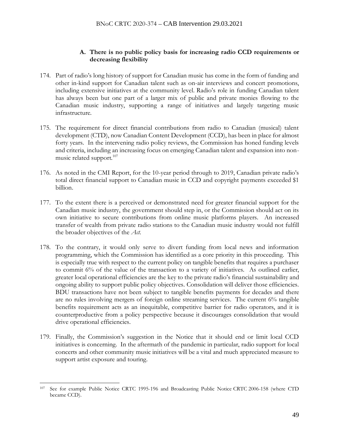### **A. There is no public policy basis for increasing radio CCD requirements or decreasing flexibility**

- 174. Part of radio's long history of support for Canadian music has come in the form of funding and other in-kind support for Canadian talent such as on-air interviews and concert promotions, including extensive initiatives at the community level. Radio's role in funding Canadian talent has always been but one part of a larger mix of public and private monies flowing to the Canadian music industry, supporting a range of initiatives and largely targeting music infrastructure.
- 175. The requirement for direct financial contributions from radio to Canadian (musical) talent development (CTD), now Canadian Content Development (CCD), has been in place for almost forty years. In the intervening radio policy reviews, the Commission has honed funding levels and criteria, including an increasing focus on emerging Canadian talent and expansion into nonmusic related support.<sup>107</sup>
- 176. As noted in the CMI Report, for the 10-year period through to 2019, Canadian private radio's total direct financial support to Canadian music in CCD and copyright payments exceeded \$1 billion.
- 177. To the extent there is a perceived or demonstrated need for greater financial support for the Canadian music industry, the government should step in, or the Commission should act on its own initiative to secure contributions from online music platforms players. An increased transfer of wealth from private radio stations to the Canadian music industry would not fulfill the broader objectives of the *Act*.
- 178. To the contrary, it would only serve to divert funding from local news and information programming, which the Commission has identified as a core priority in this proceeding. This is especially true with respect to the current policy on tangible benefits that requires a purchaser to commit 6% of the value of the transaction to a variety of initiatives. As outlined earlier, greater local operational efficiencies are the key to the private radio's financial sustainability and ongoing ability to support public policy objectives. Consolidation will deliver those efficiencies. BDU transactions have not been subject to tangible benefits payments for decades and there are no rules involving mergers of foreign online streaming services. The current 6% tangible benefits requirement acts as an inequitable, competitive barrier for radio operators, and it is counterproductive from a policy perspective because it discourages consolidation that would drive operational efficiencies.
- 179. Finally, the Commission's suggestion in the Notice that it should end or limit local CCD initiatives is concerning. In the aftermath of the pandemic in particular, radio support for local concerts and other community music initiatives will be a vital and much appreciated measure to support artist exposure and touring.

<sup>107</sup> See for example Public Notice CRTC 1995-196 and Broadcasting Public Notice CRTC 2006-158 (where CTD became CCD).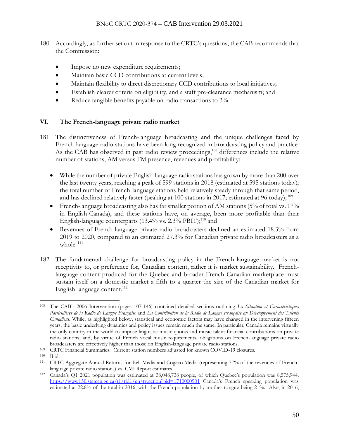- 180. Accordingly, as further set out in response to the CRTC's questions, the CAB recommends that the Commission:
	- Impose no new expenditure requirements;
	- Maintain basic CCD contributions at current levels;
	- Maintain flexibility to direct discretionary CCD contributions to local initiatives;
	- Establish clearer criteria on eligibility, and a staff pre-clearance mechanism; and
	- Reduce tangible benefits payable on radio transactions to  $3\%$ .

# **VI. The French-language private radio market**

- 181. The distinctiveness of French-language broadcasting and the unique challenges faced by French-language radio stations have been long recognized in broadcasting policy and practice. As the CAB has observed in past radio review proceedings,<sup>108</sup> differences include the relative number of stations, AM versus FM presence, revenues and profitability:
	- While the number of private English-language radio stations has grown by more than 200 over the last twenty years, reaching a peak of 599 stations in 2018 (estimated at 595 stations today), the total number of French-language stations held relatively steady through that same period, and has declined relatively faster (peaking at 100 stations in 2017; estimated at 96 today);<sup>109</sup>
	- French-language broadcasting also has far smaller portion of AM stations (5% of total vs. 17% in English-Canada), and these stations have, on average, been more profitable than their English-language counterparts (13.4% vs. 2.3% PBIT);<sup>110</sup> and
	- Revenues of French-language private radio broadcasters declined an estimated 18.3% from 2019 to 2020, compared to an estimated 27.3% for Canadian private radio broadcasters as a whole.<sup>111</sup>
- 182. The fundamental challenge for broadcasting policy in the French-language market is not receptivity to, or preference for, Canadian content, rather it is market sustainability. Frenchlanguage content produced for the Quebec and broader French-Canadian marketplace must sustain itself on a domestic market a fifth to a quarter the size of the Canadian market for English-language content. 112

<sup>108</sup> The CAB's 2006 Intervention (pages 107-146) contained detailed sections outlining *La Situation et Caractéristiques Particulières de la Radio de Langue Française* and *La Contribution de la Radio de Langue Française au Développement des Talents Canadiens.* While, as highlighted below, statistical and economic factors may have changed in the intervening fifteen years, the basic underlying dynamics and policy issues remain much the same. In particular, Canada remains virtually the only country in the world to impose linguistic music quotas and music talent financial contributions on private radio stations, and, by virtue of French vocal music requirements, obligations on French-language private radio broadcasters are effectively higher than those on English-language private radio stations.

<sup>109</sup> CRTC Financial Summaries. Current station numbers adjusted for known COVID-19 closures.

<sup>110</sup> Ibid.

<sup>111</sup> CRTC Aggregate Annual Returns for Bell Média and Cogeco Média (representing 77% of the revenues of Frenchlanguage private radio stations) vs. CMI Report estimates.

<sup>112</sup> Canada's Q1 2021 population was estimated at 38,048,738 people, of which Quebec's population was 8,575,944. [https://www150.statcan.gc.ca/t1/tbl1/en/tv.action?pid=1710000901](https://ct-url-protection.portal.checkpoint.com/v1/load/xqWgPamoIT5N1yFRnlgJDTaEIhe64dhXhuI9BTismh1RLKbxX8d_Ynoq9FHpYH4Q1DgYVMsZPbPlw3ot8v-HHQ7gvzztMNHtqiWkem1OGD1qu_ehFPPpqYpw9wCxiOQZHMNCSs5UlrRVpNN5I_T2unzeH2n4p97Ss6Brw812KGk6YR2zUzIVByM85ZeRvpmXuq9j7bppOUtaWlcmaKsQc7G8gsqXkAfEOSRrn4B8cM2OVX8PP15NLI0HiMVWj6dK) Canada's French speaking population was estimated at 22.8% of the total in 2016, with the French population by mother tongue being 21%. Also, in 2016,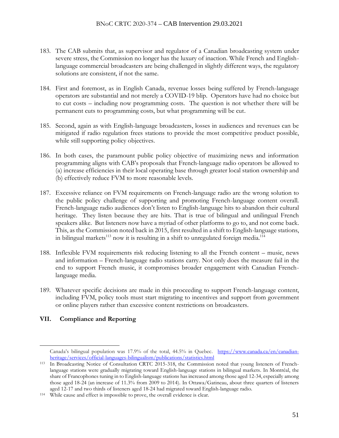- 183. The CAB submits that, as supervisor and regulator of a Canadian broadcasting system under severe stress, the Commission no longer has the luxury of inaction. While French and Englishlanguage commercial broadcasters are being challenged in slightly different ways, the regulatory solutions are consistent, if not the same.
- 184. First and foremost, as in English Canada, revenue losses being suffered by French-language operators are substantial and not merely a COVID-19 blip. Operators have had no choice but to cut costs – including now programming costs. The question is not whether there will be permanent cuts to programming costs, but what programming will be cut.
- 185. Second, again as with English-language broadcasters, losses in audiences and revenues can be mitigated if radio regulation frees stations to provide the most competitive product possible, while still supporting policy objectives.
- 186. In both cases, the paramount public policy objective of maximizing news and information programming aligns with CAB's proposals that French-language radio operators be allowed to (a) increase efficiencies in their local operating base through greater local station ownership and (b) effectively reduce FVM to more reasonable levels.
- 187. Excessive reliance on FVM requirements on French-language radio are the wrong solution to the public policy challenge of supporting and promoting French-language content overall. French-language radio audiences don't listen to English-language hits to abandon their cultural heritage. They listen because they are hits. That is true of bilingual and unilingual French speakers alike. But listeners now have a myriad of other platforms to go to, and not come back. This, as the Commission noted back in 2015, first resulted in a shift to English-language stations, in bilingual markets<sup>113</sup> now it is resulting in a shift to unregulated foreign media.<sup>114</sup>
- 188. Inflexible FVM requirements risk reducing listening to all the French content music, news and information – French-language radio stations carry. Not only does the measure fail in the end to support French music, it compromises broader engagement with Canadian Frenchlanguage media.
- 189. Whatever specific decisions are made in this proceeding to support French-language content, including FVM, policy tools must start migrating to incentives and support from government or online players rather than excessive content restrictions on broadcasters.

## **VII. Compliance and Reporting**

Canada's bilingual population was 17.9% of the total, 44.5% in Quebec. [https://www.canada.ca/en/canadian](https://ct-url-protection.portal.checkpoint.com/v1/load/12wdRqm_IT9coJXC-qiDU2fFxdTFaSTZVG8xHWcybLyVxuRJ6GpMpa0bw-viQavP_wcC8uQFSIEg9Ouei5Ia0VTMc3d6fg8O_7ZWD5tlAoaLKROTR9gNjkl09-wTXCEX5A_1m5L8lbTQgKT4DvrWNyZDvosccZggP2LnsS-WYVWX8QSVypjJH7dU5ADXevM-H3o_Xa7xBEEWksZ60_1FKRVnuaVugX7MfS5I1kT0w_NaD5G6ziGWv4jzlnMXAlZZK33gmrWoLKq3j1mtp2aCTtKZ36Ars-JVF_hUtp6yXRIHjLuUwiALrRHlenJxOD5d)[heritage/services/official-languages-bilingualism/publications/statistics.html](https://ct-url-protection.portal.checkpoint.com/v1/load/12wdRqm_IT9coJXC-qiDU2fFxdTFaSTZVG8xHWcybLyVxuRJ6GpMpa0bw-viQavP_wcC8uQFSIEg9Ouei5Ia0VTMc3d6fg8O_7ZWD5tlAoaLKROTR9gNjkl09-wTXCEX5A_1m5L8lbTQgKT4DvrWNyZDvosccZggP2LnsS-WYVWX8QSVypjJH7dU5ADXevM-H3o_Xa7xBEEWksZ60_1FKRVnuaVugX7MfS5I1kT0w_NaD5G6ziGWv4jzlnMXAlZZK33gmrWoLKq3j1mtp2aCTtKZ36Ars-JVF_hUtp6yXRIHjLuUwiALrRHlenJxOD5d)

<sup>113</sup> In Broadcasting Notice of Consultation CRTC 2015-318, the Commission noted that young listeners of Frenchlanguage stations were gradually migrating toward English-language stations in bilingual markets. In Montréal, the share of Francophones tuning in to English-language stations has increased among those aged 12-34, especially among those aged 18-24 (an increase of 11.3% from 2009 to 2014). In Ottawa/Gatineau, about three quarters of listeners aged 12-17 and two thirds of listeners aged 18-24 had migrated toward English-language radio.

<sup>114</sup> While cause and effect is impossible to prove, the overall evidence is clear.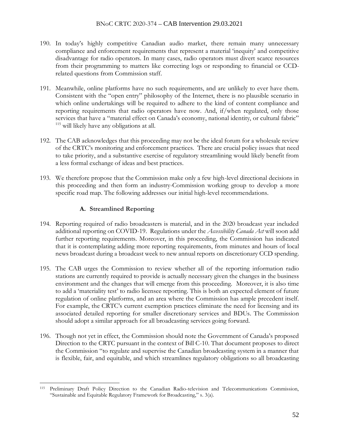- 190. In today's highly competitive Canadian audio market, there remain many unnecessary compliance and enforcement requirements that represent a material 'inequity' and competitive disadvantage for radio operators. In many cases, radio operators must divert scarce resources from their programming to matters like correcting logs or responding to financial or CCDrelated questions from Commission staff.
- 191. Meanwhile, online platforms have no such requirements, and are unlikely to ever have them. Consistent with the "open entry" philosophy of the Internet, there is no plausible scenario in which online undertakings will be required to adhere to the kind of content compliance and reporting requirements that radio operators have now. And, if/when regulated, only those services that have a "material effect on Canada's economy, national identity, or cultural fabric" <sup>115</sup> will likely have any obligations at all.
- 192. The CAB acknowledges that this proceeding may not be the ideal forum for a wholesale review of the CRTC's monitoring and enforcement practices. There are crucial policy issues that need to take priority, and a substantive exercise of regulatory streamlining would likely benefit from a less formal exchange of ideas and best practices.
- 193. We therefore propose that the Commission make only a few high-level directional decisions in this proceeding and then form an industry-Commission working group to develop a more specific road map. The following addresses our initial high-level recommendations.

## **A. Streamlined Reporting**

- 194. Reporting required of radio broadcasters is material, and in the 2020 broadcast year included additional reporting on COVID-19. Regulations under the *Accessibility Canada Act* will soon add further reporting requirements. Moreover, in this proceeding, the Commission has indicated that it is contemplating adding more reporting requirements, from minutes and hours of local news broadcast during a broadcast week to new annual reports on discretionary CCD spending.
- 195. The CAB urges the Commission to review whether all of the reporting information radio stations are currently required to provide is actually necessary given the changes in the business environment and the changes that will emerge from this proceeding. Moreover, it is also time to add a 'materiality test' to radio licensee reporting. This is both an expected element of future regulation of online platforms, and an area where the Commission has ample precedent itself. For example, the CRTC's current exemption practices eliminate the need for licensing and its associated detailed reporting for smaller discretionary services and BDUs. The Commission should adopt a similar approach for all broadcasting services going forward.
- 196. Though not yet in effect, the Commission should note the Government of Canada's proposed Direction to the CRTC pursuant in the context of Bill C-10. That document proposes to direct the Commission "to regulate and supervise the Canadian broadcasting system in a manner that is flexible, fair, and equitable, and which streamlines regulatory obligations so all broadcasting

<sup>115</sup> Preliminary Draft Policy Direction to the Canadian Radio-television and Telecommunications Commission, "Sustainable and Equitable Regulatory Framework for Broadcasting," s. 3(a).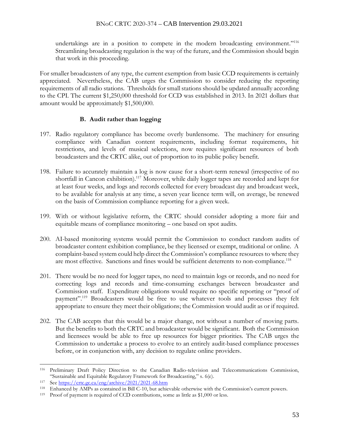undertakings are in a position to compete in the modern broadcasting environment."<sup>116</sup> Streamlining broadcasting regulation is the way of the future, and the Commission should begin that work in this proceeding.

For smaller broadcasters of any type, the current exemption from basic CCD requirements is certainly appreciated. Nevertheless, the CAB urges the Commission to consider reducing the reporting requirements of all radio stations. Thresholds for small stations should be updated annually according to the CPI. The current \$1,250,000 threshold for CCD was established in 2013. In 2021 dollars that amount would be approximately \$1,500,000.

## **B. Audit rather than logging**

- 197. Radio regulatory compliance has become overly burdensome. The machinery for ensuring compliance with Canadian content requirements, including format requirements, hit restrictions, and levels of musical selections, now requires significant resources of both broadcasters and the CRTC alike, out of proportion to its public policy benefit.
- 198. Failure to accurately maintain a log is now cause for a short-term renewal (irrespective of no shortfall in Cancon exhibition).<sup>117</sup> Moreover, while daily logger tapes are recorded and kept for at least four weeks, and logs and records collected for every broadcast day and broadcast week, to be available for analysis at any time, a seven year licence term will, on average, be renewed on the basis of Commission compliance reporting for a given week.
- 199. With or without legislative reform, the CRTC should consider adopting a more fair and equitable means of compliance monitoring – one based on spot audits.
- 200. AI-based monitoring systems would permit the Commission to conduct random audits of broadcaster content exhibition compliance, be they licensed or exempt, traditional or online. A complaint-based system could help direct the Commission's compliance resources to where they are most effective. Sanctions and fines would be sufficient deterrents to non-compliance.<sup>118</sup>
- 201. There would be no need for logger tapes, no need to maintain logs or records, and no need for correcting logs and records and time-consuming exchanges between broadcaster and Commission staff. Expenditure obligations would require no specific reporting or "proof of payment".<sup>119</sup> Broadcasters would be free to use whatever tools and processes they felt appropriate to ensure they meet their obligations; the Commission would audit as or if required.
- 202. The CAB accepts that this would be a major change, not without a number of moving parts. But the benefits to both the CRTC and broadcaster would be significant. Both the Commission and licensees would be able to free up resources for bigger priorities. The CAB urges the Commission to undertake a process to evolve to an entirely audit-based compliance processes before, or in conjunction with, any decision to regulate online providers.

<sup>116</sup> Preliminary Draft Policy Direction to the Canadian Radio-television and Telecommunications Commission, "Sustainable and Equitable Regulatory Framework for Broadcasting," s. 6(e).

<sup>117</sup> Se[e https://crtc.gc.ca/eng/archive/2021/2021-68.htm](https://ct-url-protection.portal.checkpoint.com/v1/load/LCeFcEgHR7Y-Ewqo5ThvsYdtE05qwYz9Ai845uM77Cr0O9i48hcmHpWwVqng-_G_Vn8RkmOmZ-ae5y0Yeiv51iKrrOnU-xfXwMxCdVXnN6R42XWuFcAqi53244m_wjqFIbNcdfoQaINMg4V-M8XFGYU-LITDytrXBInVB-bh_CK22gM0pfRNNRgdinvqtAMHqyu5mk0VvS6w_2rTFgOw-ICTrENaKNlBGojjezAn0w)

<sup>118</sup> Enhanced by AMPs as contained in Bill C-10, but achievable otherwise with the Commission's current powers.

<sup>119</sup> Proof of payment is required of CCD contributions, some as little as \$1,000 or less.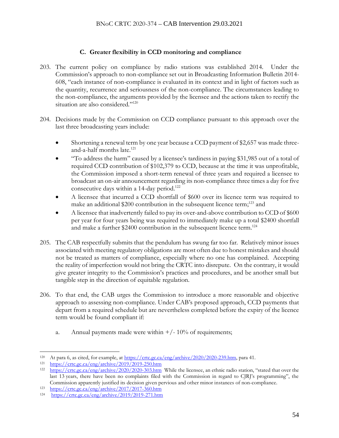# **C. Greater flexibility in CCD monitoring and compliance**

- 203. The current policy on compliance by radio stations was established 2014. Under the Commission's approach to non-compliance set out in Broadcasting Information Bulletin [2014-](https://ct-url-protection.portal.checkpoint.com/v1/load/Jg31U6W0KnXesieSq6O10HvrjBILn2ME_JGAQ4-L_qOWq0LtTNw-x-gf2-U7QiTYClbucu2j7uWEqwJ_4x4fGkAxEz0oQirO36lQAsCGLxuD6zOoKZlYV1VhT5IN8jhA_dnEm00O6HLNUjI3DDZmMFC3_giKpAmA0wA3HnEcjfcwq7cHbg8GJF9edliyZDDOKuAPy0Z3z_k-D9rPZ5o22uzfoVLWM7kGt69yUAcv2Qk) [608](https://ct-url-protection.portal.checkpoint.com/v1/load/Jg31U6W0KnXesieSq6O10HvrjBILn2ME_JGAQ4-L_qOWq0LtTNw-x-gf2-U7QiTYClbucu2j7uWEqwJ_4x4fGkAxEz0oQirO36lQAsCGLxuD6zOoKZlYV1VhT5IN8jhA_dnEm00O6HLNUjI3DDZmMFC3_giKpAmA0wA3HnEcjfcwq7cHbg8GJF9edliyZDDOKuAPy0Z3z_k-D9rPZ5o22uzfoVLWM7kGt69yUAcv2Qk), "each instance of non-compliance is evaluated in its context and in light of factors such as the quantity, recurrence and seriousness of the non-compliance. The circumstances leading to the non-compliance, the arguments provided by the licensee and the actions taken to rectify the situation are also considered."<sup>120</sup>
- 204. Decisions made by the Commission on CCD compliance pursuant to this approach over the last three broadcasting years include:
	- Shortening a renewal term by one year because a CCD payment of \$2,657 was made threeand-a-half months late. 121
	- "To address the harm" caused by a licensee's tardiness in paying \$31,985 out of a total of required CCD contribution of \$102,379 to CCD, because at the time it was unprofitable, the Commission imposed a short-term renewal of three years and required a licensee to broadcast an on-air announcement regarding its non-compliance three times a day for five consecutive days within a 14-day period.<sup>122</sup>
	- A licensee that incurred a CCD shortfall of \$600 over its licence term was required to make an additional \$200 contribution in the subsequent licence term;<sup>123</sup> and
	- A licensee that inadvertently failed to pay its over-and-above contribution to CCD of \$600 per year for four years being was required to immediately make up a total \$2400 shortfall and make a further \$2400 contribution in the subsequent licence term.<sup>124</sup>
- 205. The CAB respectfully submits that the pendulum has swung far too far. Relatively minor issues associated with meeting regulatory obligations are most often due to honest mistakes and should not be treated as matters of compliance, especially where no one has complained. Accepting the reality of imperfection would not bring the CRTC into disrepute. On the contrary, it would give greater integrity to the Commission's practices and procedures, and be another small but tangible step in the direction of equitable regulation.
- 206. To that end, the CAB urges the Commission to introduce a more reasonable and objective approach to assessing non-compliance. Under CAB's proposed approach, CCD payments that depart from a required schedule but are nevertheless completed before the expiry of the licence term would be found compliant if:
	- a. Annual payments made were within  $+/- 10\%$  of requirements;

<sup>120</sup> At para 6, as cited, for example, at [https://crtc.gc.ca/eng/archive/2020/2020-239.htm,](https://crtc.gc.ca/eng/archive/2020/2020-239.htm) para 41.

 $121$  <https://crtc.gc.ca/eng/archive/2019/2019-250.htm>

<sup>122</sup> [https://crtc.gc.ca/eng/archive/2020/2020-303.htm](https://ct-url-protection.portal.checkpoint.com/v1/load/zRJf-O-9Ffnj9wO5XFNjhli0W1mhHE-XVrbcly-zvuQsQr_jR0bV4mkBPWM3FHysDiym3KV0YouaTin_YO6i24WjPoV2-9u6KJ5d9zw5h_19yF33LyoPChXOEZSsiO1krJSxASon8B1fcmEq7_NqOGy9QzXpEnvtQQVPROa0CMAKIWylwLaY8Qu_bHxoaOTpC_sVvSxy5I9WXFg6Ntq_nOPszWJsEqUOlzM7xIr0kto) While the licensee, an ethnic radio station, "stated that over the last 13 years, there have been no complaints filed with the Commission in regard to CJRJ's programming", the Commission apparently justified its decision given pervious and other minor instances of non-compliance.

<sup>123</sup> [https://crtc.gc.ca/eng/archive/2017/2017-360.htm](https://ct-url-protection.portal.checkpoint.com/v1/load/qCNrhpKVJwQjeuF6drrhYltP2L85GkQsMT1KykWUakVL9wP5ir_Jkzli4hAh4op9vyL3OnzSmefIGl_UsXIM4n7HYfke-8U5dtek1bdNvYFibyx7ev5bEy0B83CBPkNohZxW78Cad2tPEPcmt1CFmmD-cBpMKuZ-gh8PtGXf2mxkrvJJmDBVPkHsntTW0JWyhGJ_rufJD-jTAGkc346hx326fG5f6ZJw8QLkT2-pTJw)

<sup>124</sup> [https://crtc.gc.ca/eng/archive/2019/2019-271.htm](https://ct-url-protection.portal.checkpoint.com/v1/load/LGlT-ma3V6tRbZw539v8t3NT5xmGyBPEJiqS_lB2ylnPXziNDfZBGob4CIIm3N8ln6wSdaGU7XKS2osSt-MKFfaK1BlDpvtCTjj7uC7S9JYTqwGnBIeNZgBte3flc5jItRFmiMI-WiU959TqnHI1cZ5jy3i-SDfBZXyWWUmVwm_aU7V2r3pkiec6X3YDnAvyx63i1eMfjUrzPYrJEPYJkY856dx_6S2Ob1Ea68PbkqQ)